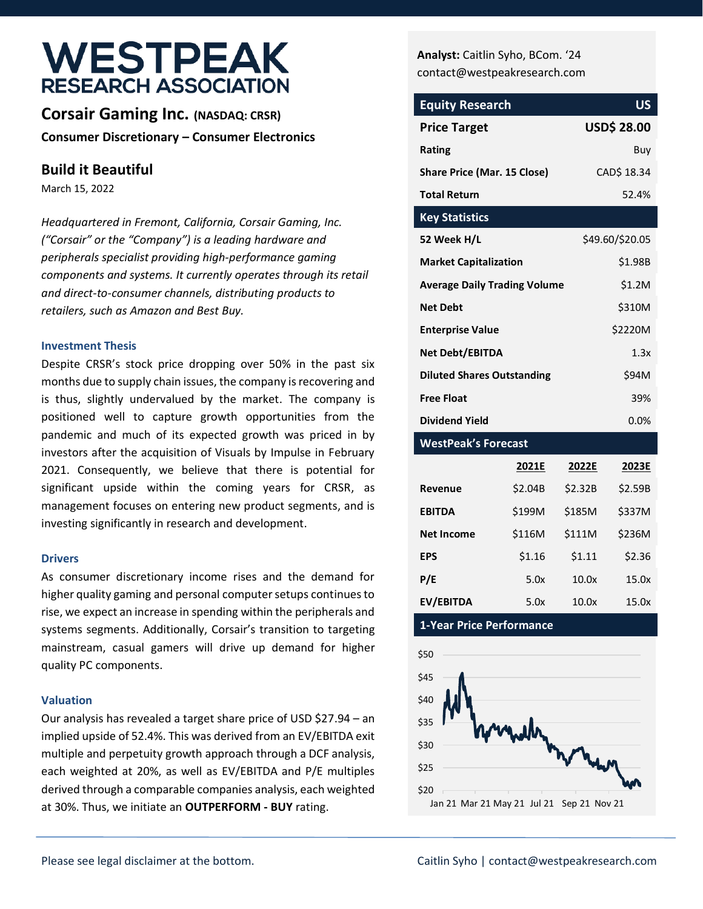# WESTPEAK **RESEARCH ASSOCIATION**

**Corsair Gaming Inc. (NASDAQ: CRSR) Consumer Discretionary – Consumer Electronics**

#### **Build it Beautiful**

March 15, 2022

*Headquartered in Fremont, California, Corsair Gaming, Inc. ("Corsair" or the "Company") is a leading hardware and peripherals specialist providing high-performance gaming components and systems. It currently operates through its retail and direct-to-consumer channels, distributing products to retailers, such as Amazon and Best Buy.*

#### **Investment Thesis**

Despite CRSR's stock price dropping over 50% in the past six months due to supply chain issues, the company is recovering and is thus, slightly undervalued by the market. The company is positioned well to capture growth opportunities from the pandemic and much of its expected growth was priced in by investors after the acquisition of Visuals by Impulse in February 2021. Consequently, we believe that there is potential for significant upside within the coming years for CRSR, as management focuses on entering new product segments, and is investing significantly in research and development.

#### **Drivers**

As consumer discretionary income rises and the demand for higher quality gaming and personal computer setups continues to rise, we expect an increase in spending within the peripherals and systems segments. Additionally, Corsair's transition to targeting mainstream, casual gamers will drive up demand for higher quality PC components.

#### **Valuation**

Our analysis has revealed a target share price of USD \$27.94 – an implied upside of 52.4%. This was derived from an EV/EBITDA exit multiple and perpetuity growth approach through a DCF analysis, each weighted at 20%, as well as EV/EBITDA and P/E multiples derived through a comparable companies analysis, each weighted at 30%. Thus, we initiate an **OUTPERFORM - BUY** rating.

**Analyst:** Caitlin Syho, BCom. '24 contact@westpeakresearch.com

| <b>Equity Research</b>              | US                 |
|-------------------------------------|--------------------|
| <b>Price Target</b>                 | <b>USD\$ 28.00</b> |
| Rating                              | Buy                |
| <b>Share Price (Mar. 15 Close)</b>  | CAD\$ 18.34        |
| <b>Total Return</b>                 | 52.4%              |
| <b>Key Statistics</b>               |                    |
| 52 Week H/L                         | \$49.60/\$20.05    |
| <b>Market Capitalization</b>        | \$1.98B            |
| <b>Average Daily Trading Volume</b> | \$1.2M             |
| <b>Net Debt</b>                     | \$310M             |
| <b>Enterprise Value</b>             | \$2220M            |
| Net Debt/EBITDA                     | 1.3x               |
| <b>Diluted Shares Outstanding</b>   | \$94M              |
| <b>Free Float</b>                   | 39%                |
| <b>Dividend Yield</b>               | $0.0\%$            |

#### **WestPeak's Forecast**

|                   | 2021E   | 2022E   | 2023E   |
|-------------------|---------|---------|---------|
| Revenue           | \$2.04B | \$2.32B | \$2.59B |
| <b>EBITDA</b>     | \$199M  | \$185M  | \$337M  |
| <b>Net Income</b> | \$116M  | \$111M  | \$236M  |
| <b>EPS</b>        | \$1.16  | \$1.11  | \$2.36  |
| P/E               | 5.0x    | 10.0x   | 15.0x   |
| EV/EBITDA         | 5.0x    | 10.0x   | 15.0x   |

#### **1-Year Price Performance**

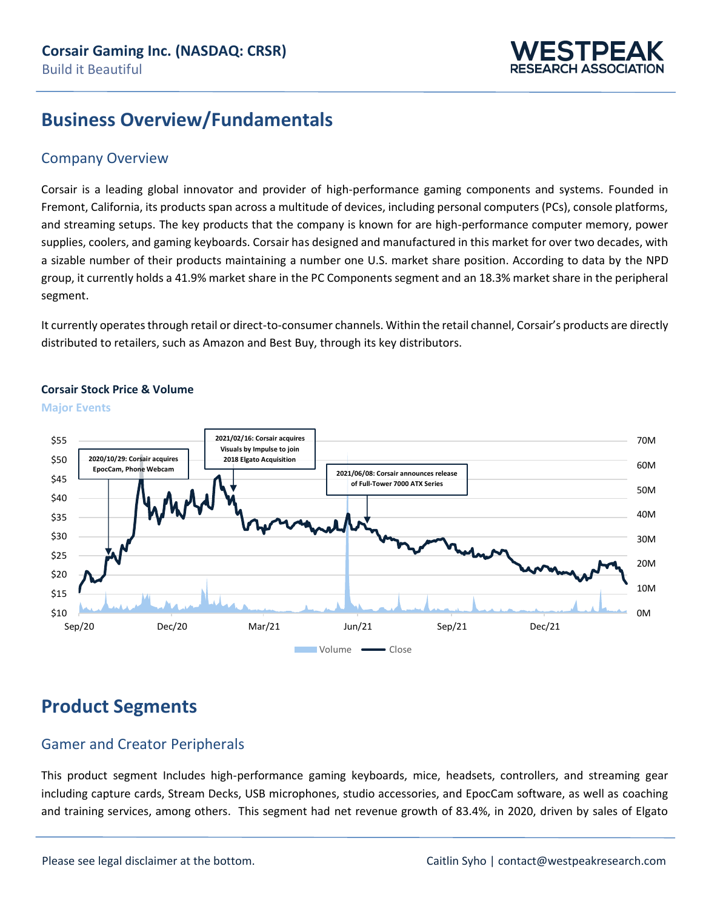

### **Business Overview/Fundamentals**

#### Company Overview

Corsair is a leading global innovator and provider of high-performance gaming components and systems. Founded in Fremont, California, its products span across a multitude of devices, including personal computers (PCs), console platforms, and streaming setups. The key products that the company is known for are high-performance computer memory, power supplies, coolers, and gaming keyboards. Corsair has designed and manufactured in this market for over two decades, with a sizable number of their products maintaining a number one U.S. market share position. According to data by the NPD group, it currently holds a 41.9% market share in the PC Components segment and an 18.3% market share in the peripheral segment.

It currently operates through retail or direct-to-consumer channels. Within the retail channel, Corsair's products are directly distributed to retailers, such as Amazon and Best Buy, through its key distributors.



#### **Corsair Stock Price & Volume**

**Major Events**

### **Product Segments**

#### Gamer and Creator Peripherals

This product segment Includes high-performance gaming keyboards, mice, headsets, controllers, and streaming gear including capture cards, Stream Decks, USB microphones, studio accessories, and EpocCam software, as well as coaching and training services, among others. This segment had net revenue growth of 83.4%, in 2020, driven by sales of Elgato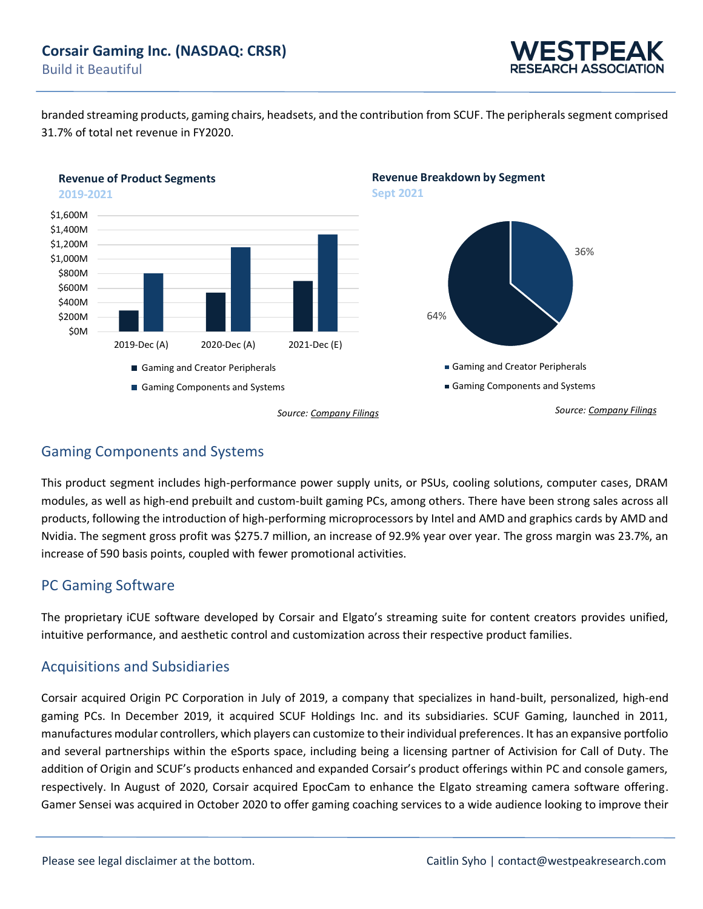### **Corsair Gaming Inc. (NASDAQ: CRSR)** Build it Beautiful



branded streaming products, gaming chairs, headsets, and the contribution from SCUF. The peripherals segment comprised 31.7% of total net revenue in FY2020.



#### Gaming Components and Systems

This product segment includes high-performance power supply units, or PSUs, cooling solutions, computer cases, DRAM modules, as well as high-end prebuilt and custom-built gaming PCs, among others. There have been strong sales across all products, following the introduction of high-performing microprocessors by Intel and AMD and graphics cards by AMD and Nvidia. The segment gross profit was \$275.7 million, an increase of 92.9% year over year. The gross margin was 23.7%, an increase of 590 basis points, coupled with fewer promotional activities.

### PC Gaming Software

The proprietary iCUE software developed by Corsair and Elgato's streaming suite for content creators provides unified, intuitive performance, and aesthetic control and customization across their respective product families.

#### Acquisitions and Subsidiaries

Corsair acquired Origin PC Corporation in July of 2019, a company that specializes in hand-built, personalized, high-end gaming PCs. In December 2019, it acquired SCUF Holdings Inc. and its subsidiaries. SCUF Gaming, launched in 2011, manufactures modular controllers, which players can customize to their individual preferences. It has an expansive portfolio and several partnerships within the eSports space, including being a licensing partner of Activision for Call of Duty. The addition of Origin and SCUF's products enhanced and expanded Corsair's product offerings within PC and console gamers, respectively. In August of 2020, Corsair acquired EpocCam to enhance the Elgato streaming camera software offering. Gamer Sensei was acquired in October 2020 to offer gaming coaching services to a wide audience looking to improve their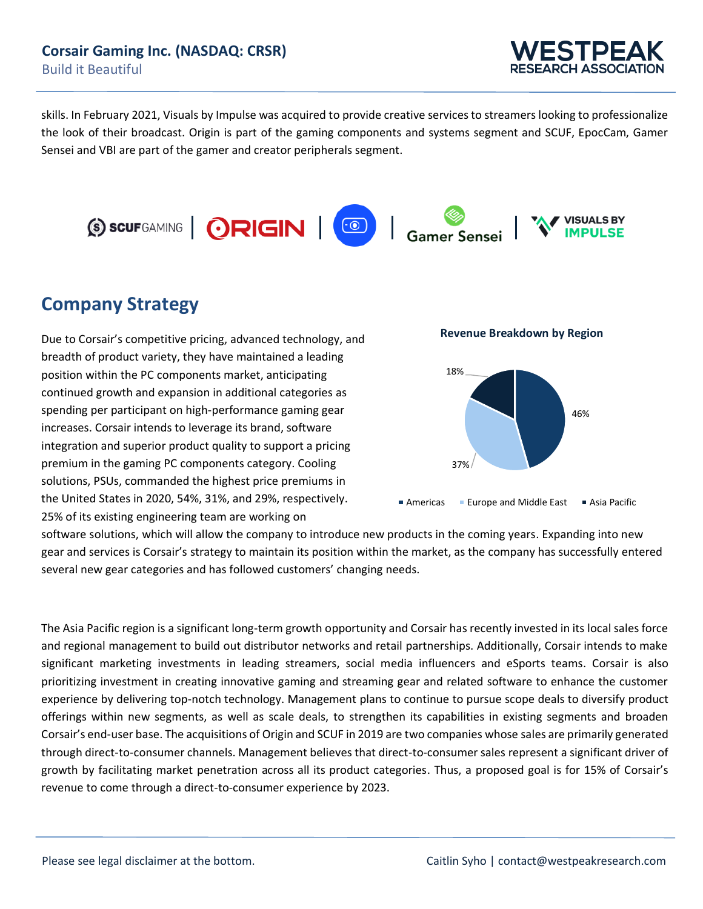ESTPE/

skills. In February 2021, Visuals by Impulse was acquired to provide creative services to streamers looking to professionalize the look of their broadcast. Origin is part of the gaming components and systems segment and SCUF, EpocCam, Gamer Sensei and VBI are part of the gamer and creator peripherals segment.



### **Company Strategy**

Due to Corsair's competitive pricing, advanced technology, and breadth of product variety, they have maintained a leading position within the PC components market, anticipating continued growth and expansion in additional categories as spending per participant on high-performance gaming gear increases. Corsair intends to leverage its brand, software integration and superior product quality to support a pricing premium in the gaming PC components category. Cooling solutions, PSUs, commanded the highest price premiums in the United States in 2020, 54%, 31%, and 29%, respectively. 25% of its existing engineering team are working on





software solutions, which will allow the company to introduce new products in the coming years. Expanding into new gear and services is Corsair's strategy to maintain its position within the market, as the company has successfully entered several new gear categories and has followed customers' changing needs.

The Asia Pacific region is a significant long-term growth opportunity and Corsair has recently invested in its local sales force and regional management to build out distributor networks and retail partnerships. Additionally, Corsair intends to make significant marketing investments in leading streamers, social media influencers and eSports teams. Corsair is also prioritizing investment in creating innovative gaming and streaming gear and related software to enhance the customer experience by delivering top-notch technology. Management plans to continue to pursue scope deals to diversify product offerings within new segments, as well as scale deals, to strengthen its capabilities in existing segments and broaden Corsair's end-user base. The acquisitions of Origin and SCUF in 2019 are two companies whose sales are primarily generated through direct-to-consumer channels. Management believes that direct-to-consumer sales represent a significant driver of growth by facilitating market penetration across all its product categories. Thus, a proposed goal is for 15% of Corsair's revenue to come through a direct-to-consumer experience by 2023.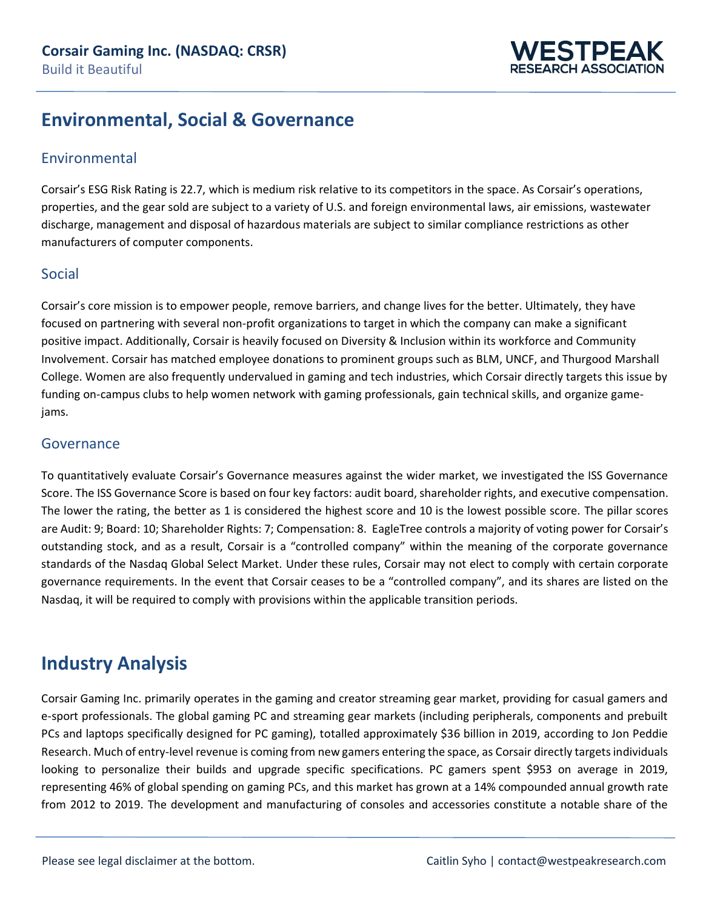

### **Environmental, Social & Governance**

#### Environmental

Corsair's ESG Risk Rating is 22.7, which is medium risk relative to its competitors in the space. As Corsair's operations, properties, and the gear sold are subject to a variety of U.S. and foreign environmental laws, air emissions, wastewater discharge, management and disposal of hazardous materials are subject to similar compliance restrictions as other manufacturers of computer components.

#### Social

Corsair's core mission is to empower people, remove barriers, and change lives for the better. Ultimately, they have focused on partnering with several non-profit organizations to target in which the company can make a significant positive impact. Additionally, Corsair is heavily focused on Diversity & Inclusion within its workforce and Community Involvement. Corsair has matched employee donations to prominent groups such as BLM, UNCF, and Thurgood Marshall College. Women are also frequently undervalued in gaming and tech industries, which Corsair directly targets this issue by funding on-campus clubs to help women network with gaming professionals, gain technical skills, and organize gamejams.

#### Governance

To quantitatively evaluate Corsair's Governance measures against the wider market, we investigated the ISS Governance Score. The ISS Governance Score is based on four key factors: audit board, shareholder rights, and executive compensation. The lower the rating, the better as 1 is considered the highest score and 10 is the lowest possible score. The pillar scores are Audit: 9; Board: 10; Shareholder Rights: 7; Compensation: 8. EagleTree controls a majority of voting power for Corsair's outstanding stock, and as a result, Corsair is a "controlled company" within the meaning of the corporate governance standards of the Nasdaq Global Select Market. Under these rules, Corsair may not elect to comply with certain corporate governance requirements. In the event that Corsair ceases to be a "controlled company", and its shares are listed on the Nasdaq, it will be required to comply with provisions within the applicable transition periods.

### **Industry Analysis**

Corsair Gaming Inc. primarily operates in the gaming and creator streaming gear market, providing for casual gamers and e-sport professionals. The global gaming PC and streaming gear markets (including peripherals, components and prebuilt PCs and laptops specifically designed for PC gaming), totalled approximately \$36 billion in 2019, according to Jon Peddie Research. Much of entry-level revenue is coming from new gamers entering the space, as Corsair directly targets individuals looking to personalize their builds and upgrade specific specifications. PC gamers spent \$953 on average in 2019, representing 46% of global spending on gaming PCs, and this market has grown at a 14% compounded annual growth rate from 2012 to 2019. The development and manufacturing of consoles and accessories constitute a notable share of the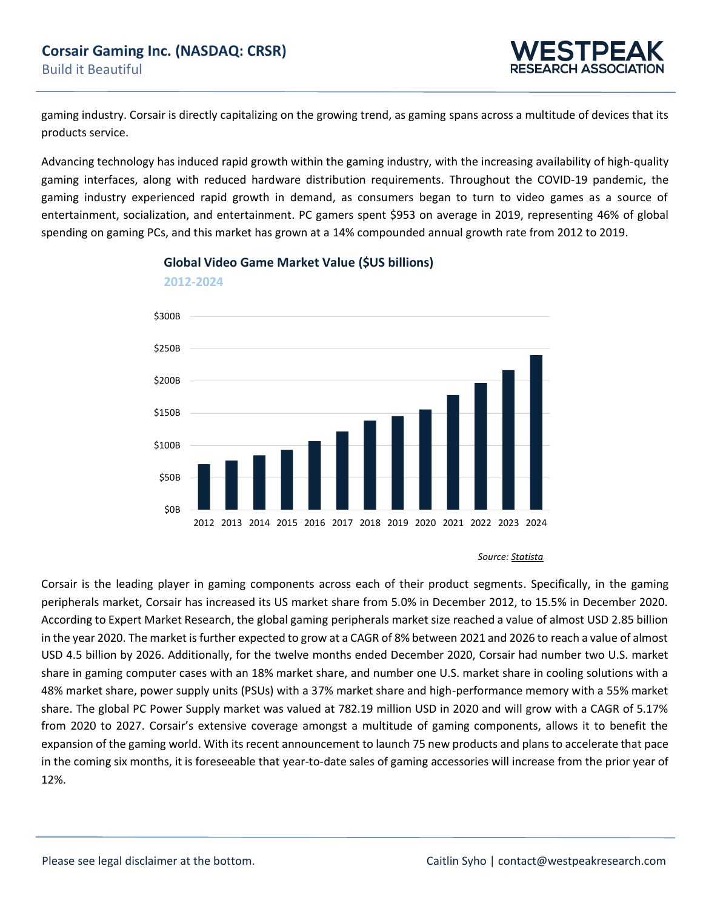**2012-2024**



gaming industry. Corsair is directly capitalizing on the growing trend, as gaming spans across a multitude of devices that its products service.

Advancing technology has induced rapid growth within the gaming industry, with the increasing availability of high-quality gaming interfaces, along with reduced hardware distribution requirements. Throughout the COVID-19 pandemic, the gaming industry experienced rapid growth in demand, as consumers began to turn to video games as a source of entertainment, socialization, and entertainment. PC gamers spent \$953 on average in 2019, representing 46% of global spending on gaming PCs, and this market has grown at a 14% compounded annual growth rate from 2012 to 2019.



#### **Global Video Game Market Value (\$US billions)**

#### *Source[: Statista](https://www.statista.com/statistics/246888/value-of-the-global-video-game-market/)*

Corsair is the leading player in gaming components across each of their product segments. Specifically, in the gaming peripherals market, Corsair has increased its US market share from 5.0% in December 2012, to 15.5% in December 2020. According to Expert Market Research, the global gaming peripherals market size reached a value of almost USD 2.85 billion in the year 2020. The market is further expected to grow at a CAGR of 8% between 2021 and 2026 to reach a value of almost USD 4.5 billion by 2026. Additionally, for the twelve months ended December 2020, Corsair had number two U.S. market share in gaming computer cases with an 18% market share, and number one U.S. market share in cooling solutions with a 48% market share, power supply units (PSUs) with a 37% market share and high-performance memory with a 55% market share. The global PC Power Supply market was valued at 782.19 million USD in 2020 and will grow with a CAGR of 5.17% from 2020 to 2027. Corsair's extensive coverage amongst a multitude of gaming components, allows it to benefit the expansion of the gaming world. With its recent announcement to launch 75 new products and plans to accelerate that pace in the coming six months, it is foreseeable that year-to-date sales of gaming accessories will increase from the prior year of 12%.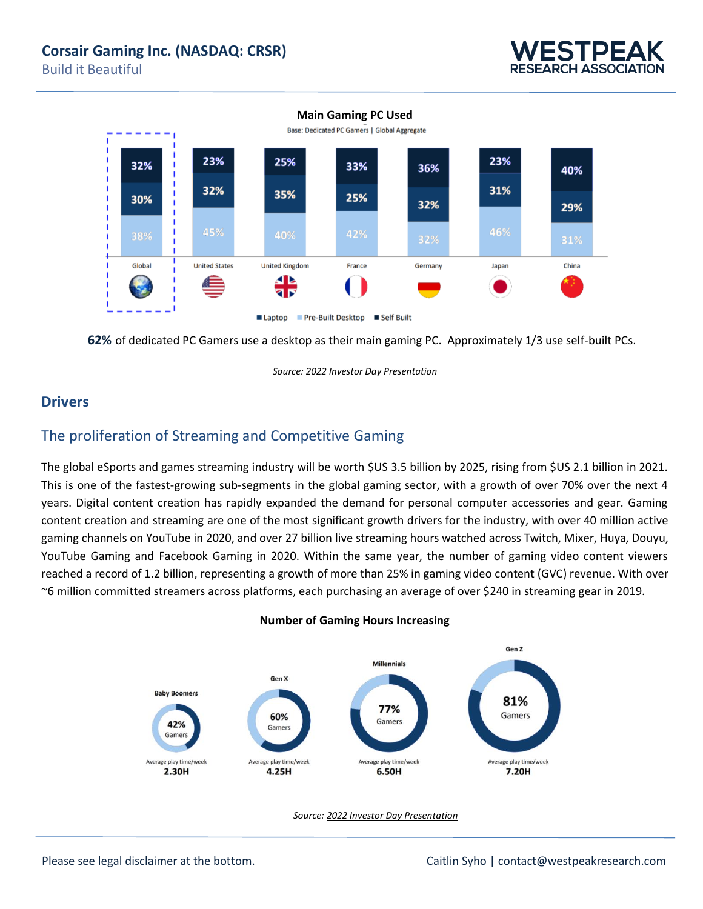Build it Beautiful





**62%** of dedicated PC Gamers use a desktop as their main gaming PC. Approximately 1/3 use self-built PCs.

*Source[: 2022 Investor Day Presentation](https://ir.corsair.com/static-files/33df6cfe-1746-46f5-8320-8db10f79eac3)*

#### **Drivers**

#### The proliferation of Streaming and Competitive Gaming

The global eSports and games streaming industry will be worth \$US 3.5 billion by 2025, rising from \$US 2.1 billion in 2021. This is one of the fastest-growing sub-segments in the global gaming sector, with a growth of over 70% over the next 4 years. Digital content creation has rapidly expanded the demand for personal computer accessories and gear. Gaming content creation and streaming are one of the most significant growth drivers for the industry, with over 40 million active gaming channels on YouTube in 2020, and over 27 billion live streaming hours watched across Twitch, Mixer, Huya, Douyu, YouTube Gaming and Facebook Gaming in 2020. Within the same year, the number of gaming video content viewers reached a record of 1.2 billion, representing a growth of more than 25% in gaming video content (GVC) revenue. With over ~6 million committed streamers across platforms, each purchasing an average of over \$240 in streaming gear in 2019.





*Source[: 2022 Investor Day Presentation](https://ir.corsair.com/static-files/33df6cfe-1746-46f5-8320-8db10f79eac3)*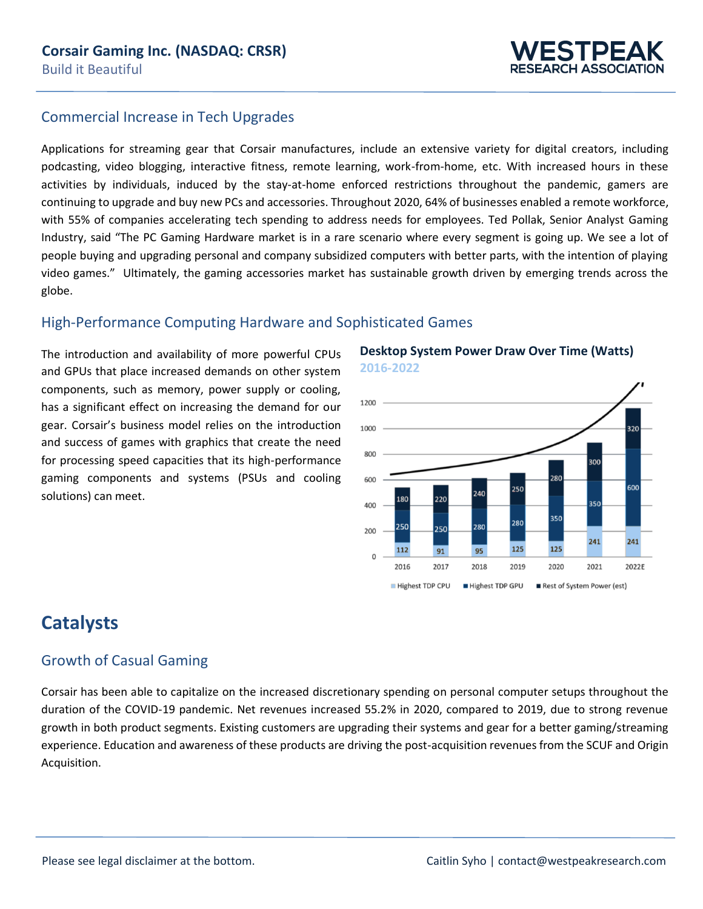#### Commercial Increase in Tech Upgrades

Applications for streaming gear that Corsair manufactures, include an extensive variety for digital creators, including podcasting, video blogging, interactive fitness, remote learning, work-from-home, etc. With increased hours in these activities by individuals, induced by the stay-at-home enforced restrictions throughout the pandemic, gamers are continuing to upgrade and buy new PCs and accessories. Throughout 2020, 64% of businesses enabled a remote workforce, with 55% of companies accelerating tech spending to address needs for employees. Ted Pollak, Senior Analyst Gaming Industry, said "The PC Gaming Hardware market is in a rare scenario where every segment is going up. We see a lot of people buying and upgrading personal and company subsidized computers with better parts, with the intention of playing video games." Ultimately, the gaming accessories market has sustainable growth driven by emerging trends across the globe.

#### High-Performance Computing Hardware and Sophisticated Games

The introduction and availability of more powerful CPUs and GPUs that place increased demands on other system components, such as memory, power supply or cooling, has a significant effect on increasing the demand for our gear. Corsair's business model relies on the introduction and success of games with graphics that create the need for processing speed capacities that its high-performance gaming components and systems (PSUs and cooling solutions) can meet.



# **2016-2022**

**Desktop System Power Draw Over Time (Watts)**

### **Catalysts**

#### Growth of Casual Gaming

Corsair has been able to capitalize on the increased discretionary spending on personal computer setups throughout the duration of the COVID-19 pandemic. Net revenues increased 55.2% in 2020, compared to 2019, due to strong revenue growth in both product segments. Existing customers are upgrading their systems and gear for a better gaming/streaming experience. Education and awareness of these products are driving the post-acquisition revenues from the SCUF and Origin Acquisition.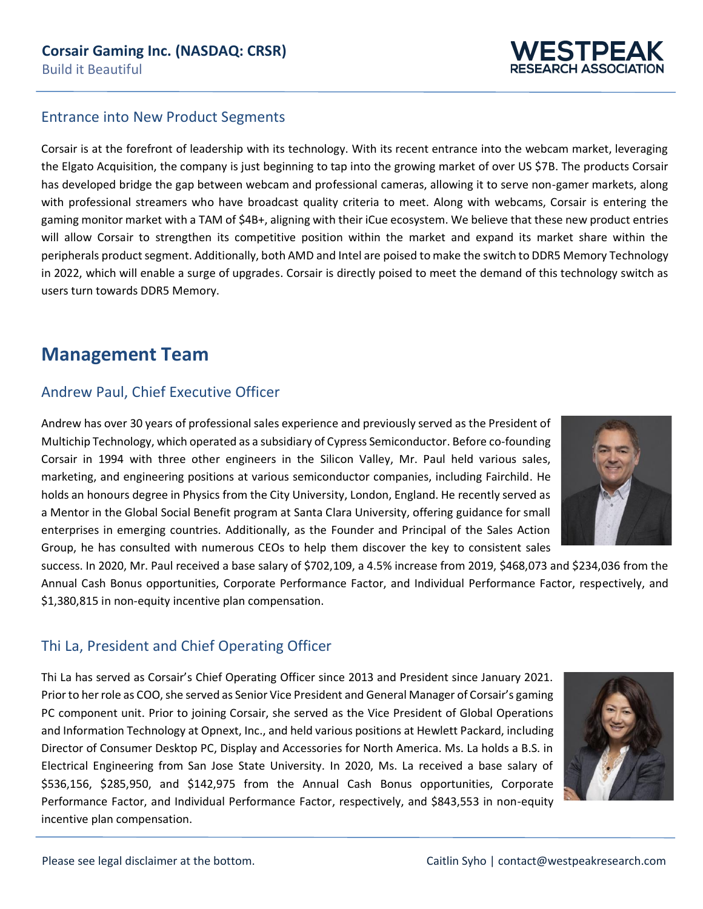

#### Entrance into New Product Segments

Corsair is at the forefront of leadership with its technology. With its recent entrance into the webcam market, leveraging the Elgato Acquisition, the company is just beginning to tap into the growing market of over US \$7B. The products Corsair has developed bridge the gap between webcam and professional cameras, allowing it to serve non-gamer markets, along with professional streamers who have broadcast quality criteria to meet. Along with webcams, Corsair is entering the gaming monitor market with a TAM of \$4B+, aligning with their iCue ecosystem. We believe that these new product entries will allow Corsair to strengthen its competitive position within the market and expand its market share within the peripherals product segment. Additionally, both AMD and Intel are poised to make the switch to DDR5 Memory Technology in 2022, which will enable a surge of upgrades. Corsair is directly poised to meet the demand of this technology switch as users turn towards DDR5 Memory.

### **Management Team**

#### Andrew Paul, Chief Executive Officer

Andrew has over 30 years of professional sales experience and previously served as the President of Multichip Technology, which operated as a subsidiary of Cypress Semiconductor. Before co-founding Corsair in 1994 with three other engineers in the Silicon Valley, Mr. Paul held various sales, marketing, and engineering positions at various semiconductor companies, including Fairchild. He holds an honours degree in Physics from the City University, London, England. He recently served as a Mentor in the Global Social Benefit program at Santa Clara University, offering guidance for small enterprises in emerging countries. Additionally, as the Founder and Principal of the Sales Action Group, he has consulted with numerous CEOs to help them discover the key to consistent sales



success. In 2020, Mr. Paul received a base salary of \$702,109, a 4.5% increase from 2019, \$468,073 and \$234,036 from the Annual Cash Bonus opportunities, Corporate Performance Factor, and Individual Performance Factor, respectively, and \$1,380,815 in non-equity incentive plan compensation.

#### Thi La, President and Chief Operating Officer

Thi La has served as Corsair's Chief Operating Officer since 2013 and President since January 2021. Prior to her role as COO, she served as Senior Vice President and General Manager of Corsair's gaming PC component unit. Prior to joining Corsair, she served as the Vice President of Global Operations and Information Technology at Opnext, Inc., and held various positions at Hewlett Packard, including Director of Consumer Desktop PC, Display and Accessories for North America. Ms. La holds a B.S. in Electrical Engineering from San Jose State University. In 2020, Ms. La received a base salary of \$536,156, \$285,950, and \$142,975 from the Annual Cash Bonus opportunities, Corporate Performance Factor, and Individual Performance Factor, respectively, and \$843,553 in non-equity incentive plan compensation.

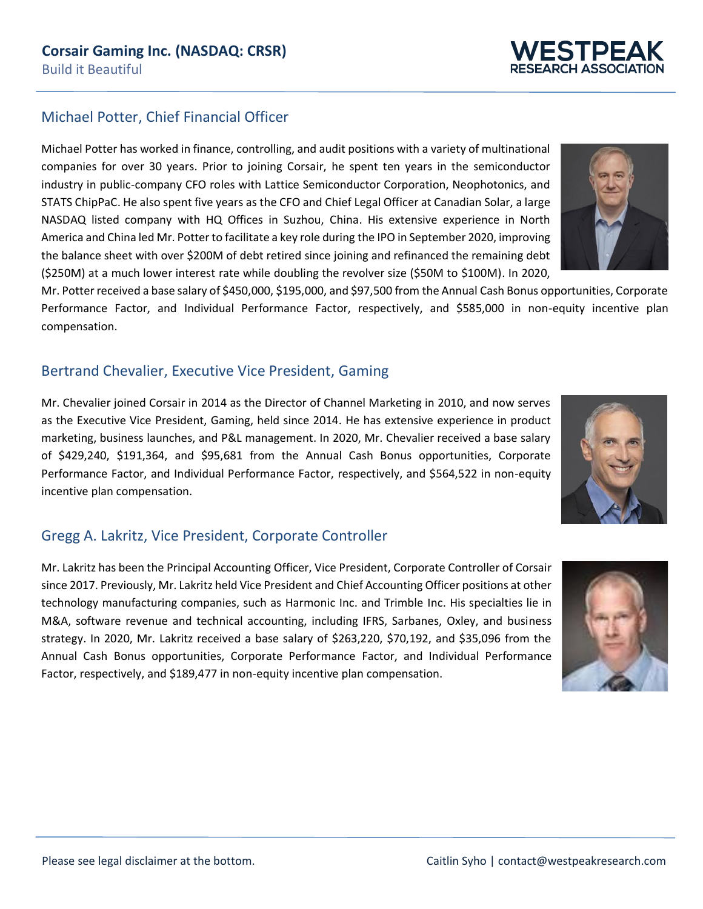#### Michael Potter, Chief Financial Officer

Michael Potter has worked in finance, controlling, and audit positions with a variety of multinational companies for over 30 years. Prior to joining Corsair, he spent ten years in the semiconductor industry in public-company CFO roles with Lattice Semiconductor Corporation, Neophotonics, and STATS ChipPaC. He also spent five years as the CFO and Chief Legal Officer at Canadian Solar, a large NASDAQ listed company with HQ Offices in Suzhou, China. His extensive experience in North America and China led Mr. Potter to facilitate a key role during the IPO in September 2020, improving the balance sheet with over \$200M of debt retired since joining and refinanced the remaining debt (\$250M) at a much lower interest rate while doubling the revolver size (\$50M to \$100M). In 2020,

Mr. Potter received a base salary of \$450,000, \$195,000, and \$97,500 from the Annual Cash Bonus opportunities, Corporate Performance Factor, and Individual Performance Factor, respectively, and \$585,000 in non-equity incentive plan compensation.

### Bertrand Chevalier, Executive Vice President, Gaming

Mr. Chevalier joined Corsair in 2014 as the Director of Channel Marketing in 2010, and now serves as the Executive Vice President, Gaming, held since 2014. He has extensive experience in product marketing, business launches, and P&L management. In 2020, Mr. Chevalier received a base salary of \$429,240, \$191,364, and \$95,681 from the Annual Cash Bonus opportunities, Corporate Performance Factor, and Individual Performance Factor, respectively, and \$564,522 in non-equity incentive plan compensation.

#### Gregg A. Lakritz, Vice President, Corporate Controller

Mr. Lakritz has been the Principal Accounting Officer, Vice President, Corporate Controller of Corsair since 2017. Previously, Mr. Lakritz held Vice President and Chief Accounting Officer positions at other technology manufacturing companies, such as Harmonic Inc. and Trimble Inc. His specialties lie in M&A, software revenue and technical accounting, including IFRS, Sarbanes, Oxley, and business strategy. In 2020, Mr. Lakritz received a base salary of \$263,220, \$70,192, and \$35,096 from the Annual Cash Bonus opportunities, Corporate Performance Factor, and Individual Performance Factor, respectively, and \$189,477 in non-equity incentive plan compensation.







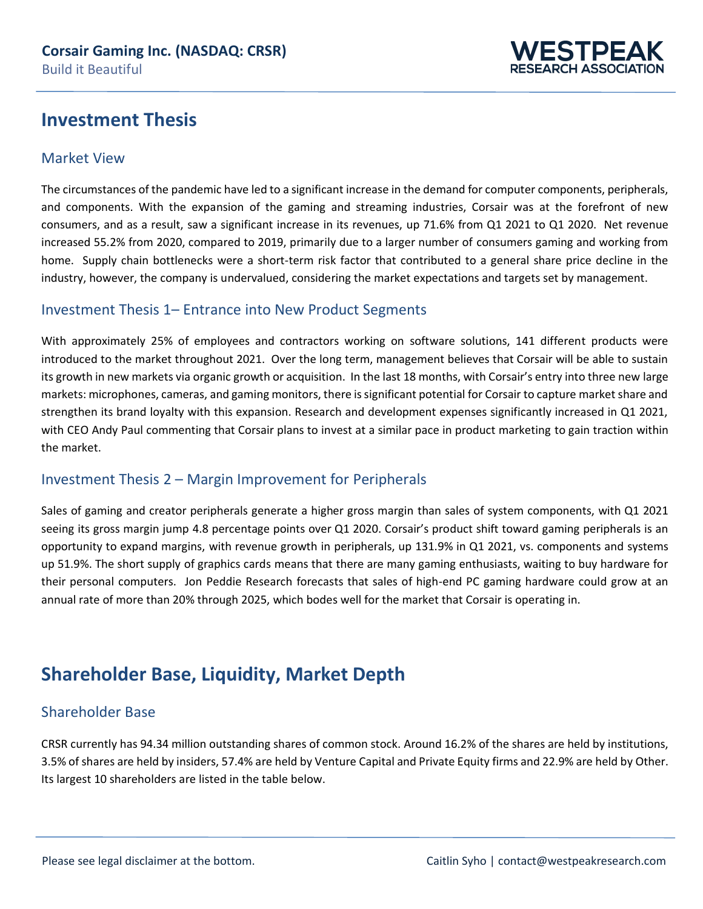

### **Investment Thesis**

#### Market View

The circumstances of the pandemic have led to a significant increase in the demand for computer components, peripherals, and components. With the expansion of the gaming and streaming industries, Corsair was at the forefront of new consumers, and as a result, saw a significant increase in its revenues, up 71.6% from Q1 2021 to Q1 2020. Net revenue increased 55.2% from 2020, compared to 2019, primarily due to a larger number of consumers gaming and working from home. Supply chain bottlenecks were a short-term risk factor that contributed to a general share price decline in the industry, however, the company is undervalued, considering the market expectations and targets set by management.

#### Investment Thesis 1– Entrance into New Product Segments

With approximately 25% of employees and contractors working on software solutions, 141 different products were introduced to the market throughout 2021. Over the long term, management believes that Corsair will be able to sustain its growth in new markets via organic growth or acquisition. In the last 18 months, with Corsair's entry into three new large markets: microphones, cameras, and gaming monitors, there is significant potential for Corsair to capture market share and strengthen its brand loyalty with this expansion. Research and development expenses significantly increased in Q1 2021, with CEO Andy Paul commenting that Corsair plans to invest at a similar pace in product marketing to gain traction within the market.

#### Investment Thesis 2 – Margin Improvement for Peripherals

Sales of gaming and creator peripherals generate a higher gross margin than sales of system components, with Q1 2021 seeing its gross margin jump 4.8 percentage points over Q1 2020. Corsair's product shift toward gaming peripherals is an opportunity to expand margins, with revenue growth in peripherals, up 131.9% in Q1 2021, vs. components and systems up 51.9%. The short supply of graphics cards means that there are many gaming enthusiasts, waiting to buy hardware for their personal computers. Jon Peddie Research forecasts that sales of high-end PC gaming hardware could grow at an annual rate of more than 20% through 2025, which bodes well for the market that Corsair is operating in.

### **Shareholder Base, Liquidity, Market Depth**

#### Shareholder Base

CRSR currently has 94.34 million outstanding shares of common stock. Around 16.2% of the shares are held by institutions, 3.5% of shares are held by insiders, 57.4% are held by Venture Capital and Private Equity firms and 22.9% are held by Other. Its largest 10 shareholders are listed in the table below.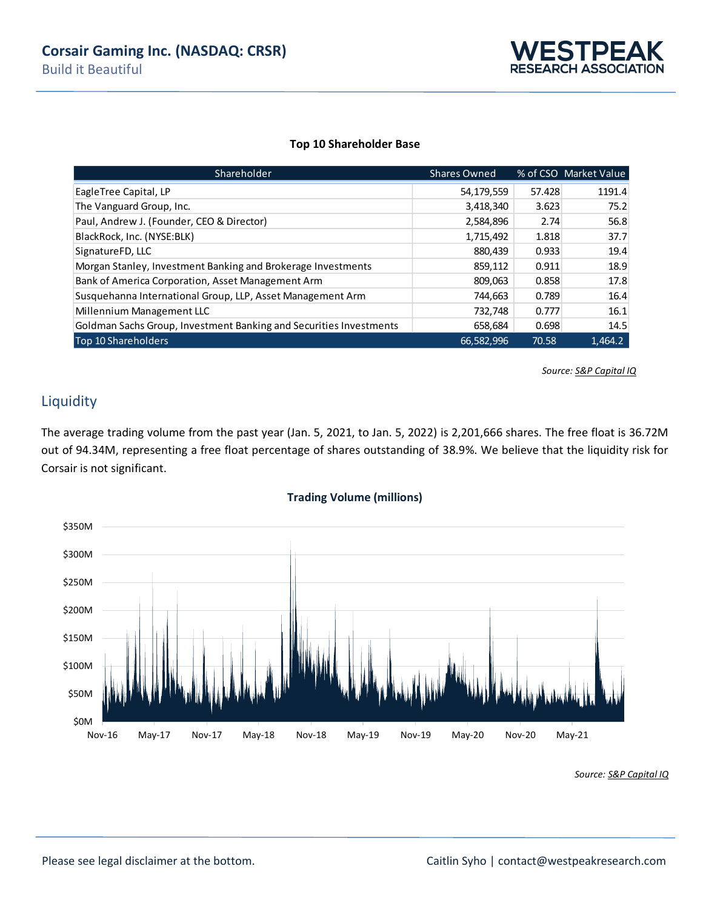#### **Top 10 Shareholder Base**

| Shareholder                                                        | <b>Shares Owned</b> |        | % of CSO Market Value |
|--------------------------------------------------------------------|---------------------|--------|-----------------------|
| EagleTree Capital, LP                                              | 54,179,559          | 57.428 | 1191.4                |
| The Vanguard Group, Inc.                                           | 3,418,340           | 3.623  | 75.2                  |
| Paul, Andrew J. (Founder, CEO & Director)                          | 2,584,896           | 2.74   | 56.8                  |
| BlackRock, Inc. (NYSE:BLK)                                         | 1,715,492           | 1.818  | 37.7                  |
| SignatureFD, LLC                                                   | 880,439             | 0.933  | 19.4                  |
| Morgan Stanley, Investment Banking and Brokerage Investments       | 859,112             | 0.911  | 18.9                  |
| Bank of America Corporation, Asset Management Arm                  | 809,063             | 0.858  | 17.8                  |
| Susquehanna International Group, LLP, Asset Management Arm         | 744,663             | 0.789  | 16.4                  |
| Millennium Management LLC                                          | 732,748             | 0.777  | 16.1                  |
| Goldman Sachs Group, Investment Banking and Securities Investments | 658,684             | 0.698  | 14.5                  |
| Top 10 Shareholders                                                | 66,582,996          | 70.58  | 1.464.2               |

 *Source[: S&P Capital IQ](https://www.capitaliq.com/CIQDotNet/company.aspx?companyId=104422749)*

#### **Liquidity**

The average trading volume from the past year (Jan. 5, 2021, to Jan. 5, 2022) is 2,201,666 shares. The free float is 36.72M out of 94.34M, representing a free float percentage of shares outstanding of 38.9%. We believe that the liquidity risk for Corsair is not significant.



#### **Trading Volume (millions)**

*Source[: S&P Capital IQ](https://www.capitaliq.com/CIQDotNet/company.aspx?companyId=104422749)*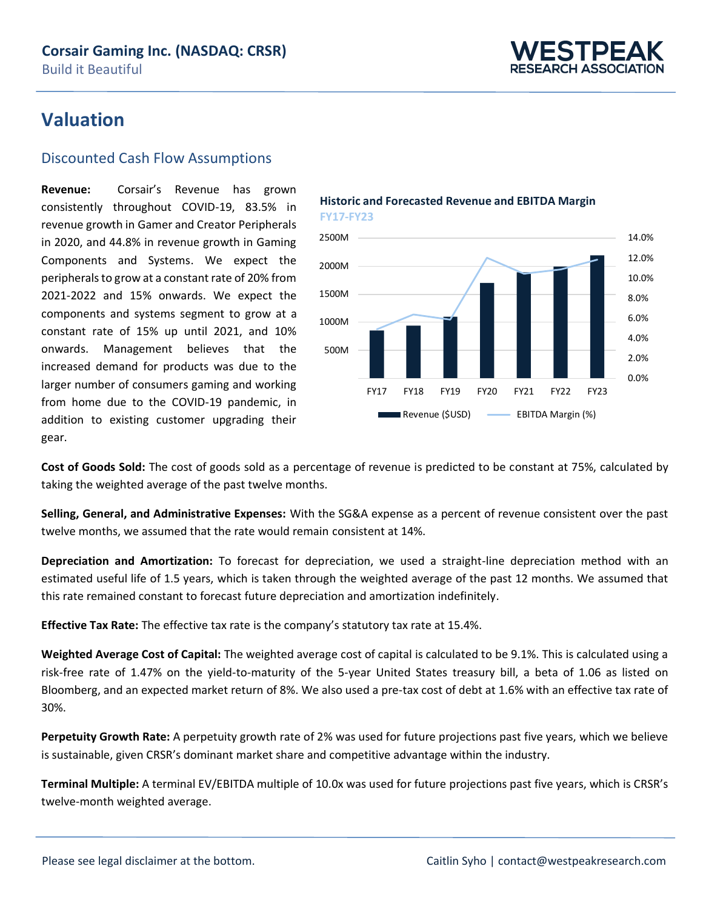

### **Valuation**

#### Discounted Cash Flow Assumptions

**Revenue:** Corsair's Revenue has grown consistently throughout COVID-19, 83.5% in revenue growth in Gamer and Creator Peripherals in 2020, and 44.8% in revenue growth in Gaming Components and Systems. We expect the peripherals to grow at a constant rate of 20% from 2021-2022 and 15% onwards. We expect the components and systems segment to grow at a constant rate of 15% up until 2021, and 10% onwards. Management believes that the increased demand for products was due to the larger number of consumers gaming and working from home due to the COVID-19 pandemic, in addition to existing customer upgrading their gear.

#### **Historic and Forecasted Revenue and EBITDA Margin FY17-FY23**



**Cost of Goods Sold:** The cost of goods sold as a percentage of revenue is predicted to be constant at 75%, calculated by taking the weighted average of the past twelve months.

**Selling, General, and Administrative Expenses:** With the SG&A expense as a percent of revenue consistent over the past twelve months, we assumed that the rate would remain consistent at 14%.

**Depreciation and Amortization:** To forecast for depreciation, we used a straight-line depreciation method with an estimated useful life of 1.5 years, which is taken through the weighted average of the past 12 months. We assumed that this rate remained constant to forecast future depreciation and amortization indefinitely.

**Effective Tax Rate:** The effective tax rate is the company's statutory tax rate at 15.4%.

**Weighted Average Cost of Capital:** The weighted average cost of capital is calculated to be 9.1%. This is calculated using a risk-free rate of 1.47% on the yield-to-maturity of the 5-year United States treasury bill, a beta of 1.06 as listed on Bloomberg, and an expected market return of 8%. We also used a pre-tax cost of debt at 1.6% with an effective tax rate of 30%.

**Perpetuity Growth Rate:** A perpetuity growth rate of 2% was used for future projections past five years, which we believe is sustainable, given CRSR's dominant market share and competitive advantage within the industry.

**Terminal Multiple:** A terminal EV/EBITDA multiple of 10.0x was used for future projections past five years, which is CRSR's twelve-month weighted average.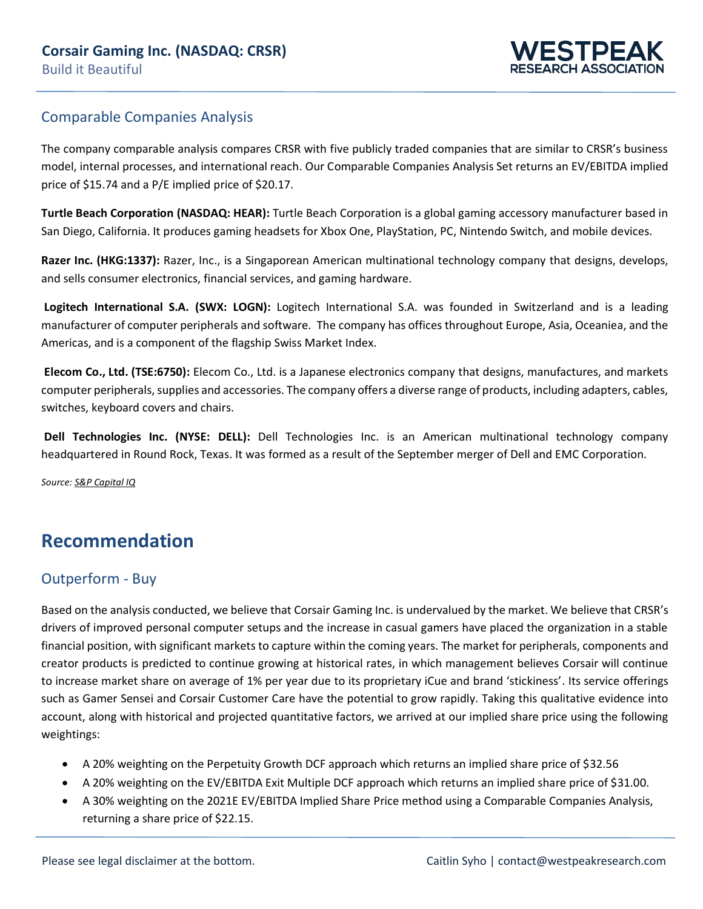

#### Comparable Companies Analysis

The company comparable analysis compares CRSR with five publicly traded companies that are similar to CRSR's business model, internal processes, and international reach. Our Comparable Companies Analysis Set returns an EV/EBITDA implied price of \$15.74 and a P/E implied price of \$20.17.

**Turtle Beach Corporation (NASDAQ: HEAR):** Turtle Beach Corporation is a global gaming accessory manufacturer based in San Diego, California. It produces gaming headsets for Xbox One, PlayStation, PC, Nintendo Switch, and mobile devices.

**Razer Inc. (HKG:1337):** Razer, Inc., is a Singaporean American multinational technology company that designs, develops, and sells consumer electronics, financial services, and gaming hardware.

**Logitech International S.A. (SWX: LOGN):** Logitech International S.A. was founded in Switzerland and is a leading manufacturer of computer peripherals and software. The company has offices throughout Europe, Asia, Oceaniea, and the Americas, and is a component of the flagship Swiss Market Index.

**Elecom Co., Ltd. (TSE:6750):** Elecom Co., Ltd. is a Japanese electronics company that designs, manufactures, and markets computer peripherals, supplies and accessories. The company offers a diverse range of products, including adapters, cables, switches, keyboard covers and chairs.

**Dell Technologies Inc. (NYSE: DELL):** Dell Technologies Inc. is an American multinational technology company headquartered in Round Rock, Texas. It was formed as a result of the September merger of Dell and EMC Corporation.

*Source: [S&P Capital IQ](https://www.capitaliq.com/CIQDotNet/company.aspx?companyId=104422749)*

### **Recommendation**

#### Outperform - Buy

Based on the analysis conducted, we believe that Corsair Gaming Inc. is undervalued by the market. We believe that CRSR's drivers of improved personal computer setups and the increase in casual gamers have placed the organization in a stable financial position, with significant markets to capture within the coming years. The market for peripherals, components and creator products is predicted to continue growing at historical rates, in which management believes Corsair will continue to increase market share on average of 1% per year due to its proprietary iCue and brand 'stickiness'. Its service offerings such as Gamer Sensei and Corsair Customer Care have the potential to grow rapidly. Taking this qualitative evidence into account, along with historical and projected quantitative factors, we arrived at our implied share price using the following weightings:

- A 20% weighting on the Perpetuity Growth DCF approach which returns an implied share price of \$32.56
- A 20% weighting on the EV/EBITDA Exit Multiple DCF approach which returns an implied share price of \$31.00.
- A 30% weighting on the 2021E EV/EBITDA Implied Share Price method using a Comparable Companies Analysis, returning a share price of \$22.15.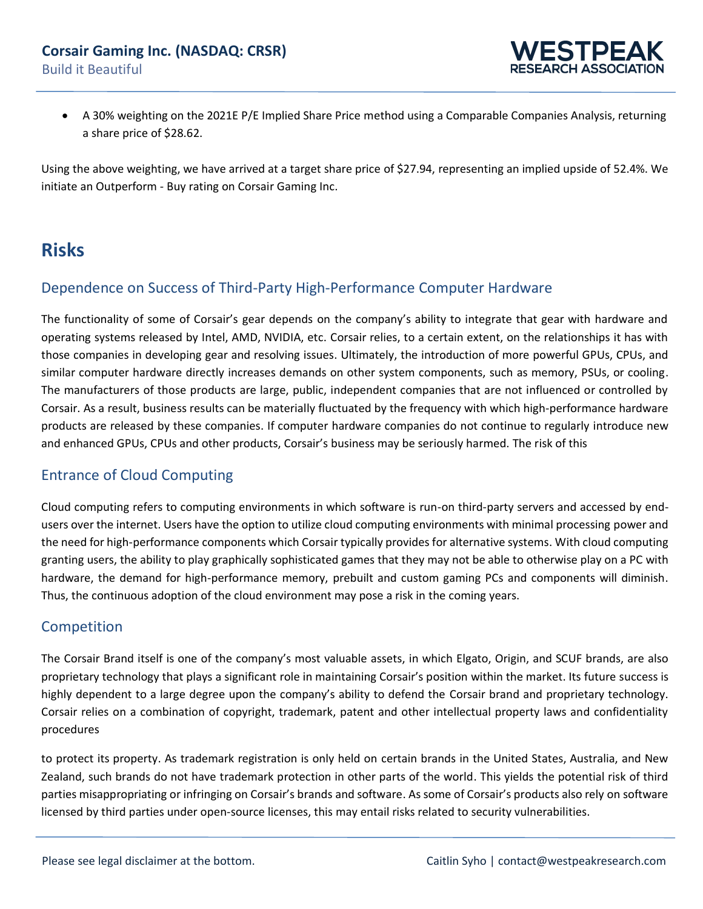

• A 30% weighting on the 2021E P/E Implied Share Price method using a Comparable Companies Analysis, returning a share price of \$28.62.

Using the above weighting, we have arrived at a target share price of \$27.94, representing an implied upside of 52.4%. We initiate an Outperform - Buy rating on Corsair Gaming Inc.

### **Risks**

#### Dependence on Success of Third-Party High-Performance Computer Hardware

The functionality of some of Corsair's gear depends on the company's ability to integrate that gear with hardware and operating systems released by Intel, AMD, NVIDIA, etc. Corsair relies, to a certain extent, on the relationships it has with those companies in developing gear and resolving issues. Ultimately, the introduction of more powerful GPUs, CPUs, and similar computer hardware directly increases demands on other system components, such as memory, PSUs, or cooling. The manufacturers of those products are large, public, independent companies that are not influenced or controlled by Corsair. As a result, business results can be materially fluctuated by the frequency with which high-performance hardware products are released by these companies. If computer hardware companies do not continue to regularly introduce new and enhanced GPUs, CPUs and other products, Corsair's business may be seriously harmed. The risk of this

#### Entrance of Cloud Computing

Cloud computing refers to computing environments in which software is run-on third-party servers and accessed by endusers over the internet. Users have the option to utilize cloud computing environments with minimal processing power and the need for high-performance components which Corsair typically provides for alternative systems. With cloud computing granting users, the ability to play graphically sophisticated games that they may not be able to otherwise play on a PC with hardware, the demand for high-performance memory, prebuilt and custom gaming PCs and components will diminish. Thus, the continuous adoption of the cloud environment may pose a risk in the coming years.

#### Competition

The Corsair Brand itself is one of the company's most valuable assets, in which Elgato, Origin, and SCUF brands, are also proprietary technology that plays a significant role in maintaining Corsair's position within the market. Its future success is highly dependent to a large degree upon the company's ability to defend the Corsair brand and proprietary technology. Corsair relies on a combination of copyright, trademark, patent and other intellectual property laws and confidentiality procedures

to protect its property. As trademark registration is only held on certain brands in the United States, Australia, and New Zealand, such brands do not have trademark protection in other parts of the world. This yields the potential risk of third parties misappropriating or infringing on Corsair's brands and software. As some of Corsair's products also rely on software licensed by third parties under open-source licenses, this may entail risks related to security vulnerabilities.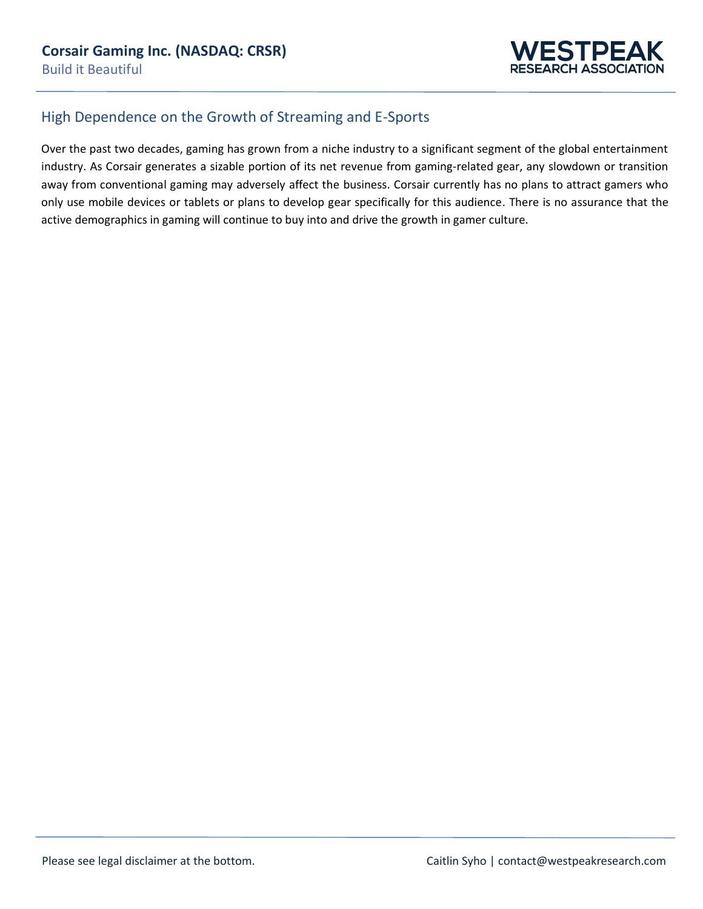

#### High Dependence on the Growth of Streaming and E-Sports

Over the past two decades, gaming has grown from a niche industry to a significant segment of the global entertainment industry. As Corsair generates a sizable portion of its net revenue from gaming-related gear, any slowdown or transition away from conventional gaming may adversely affect the business. Corsair currently has no plans to attract gamers who only use mobile devices or tablets or plans to develop gear specifically for this audience. There is no assurance that the active demographics in gaming will continue to buy into and drive the growth in gamer culture.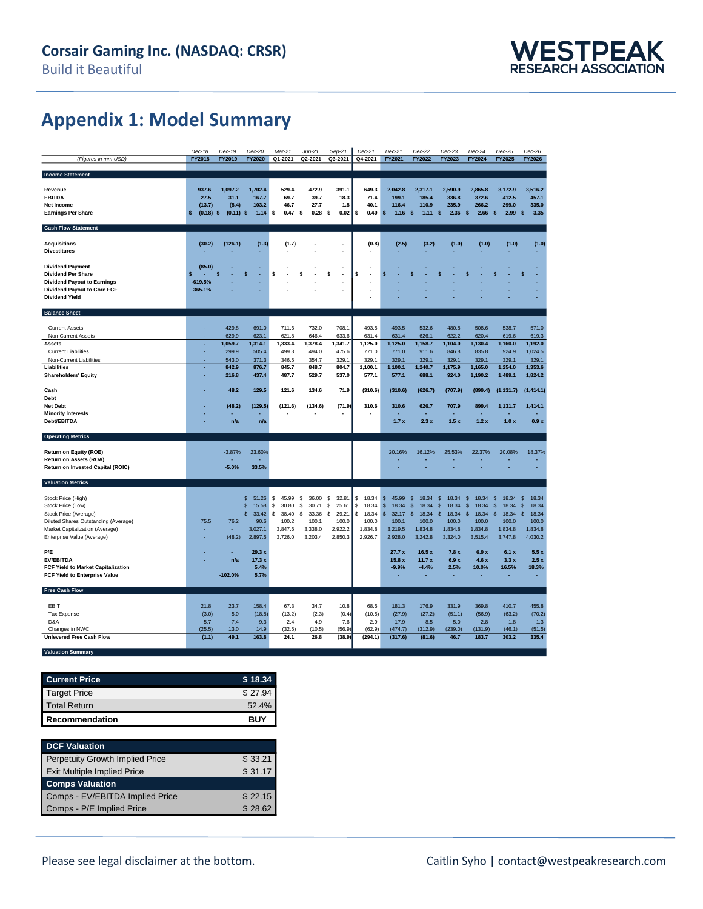

# **Appendix 1: Model Summary**

| <b>Income Statement</b><br>1,097.2<br>1,702.4<br>529.4<br>472.9<br>391.1<br>649.3<br>2,042.8<br>2,317.1<br>2,590.9<br>2,865.8<br>3,172.9<br>3,516.2<br>Revenue<br>937.6<br><b>EBITDA</b><br>27.5<br>31.1<br>167.7<br>69.7<br>39.7<br>18.3<br>71.4<br>199.1<br>185.4<br>336.8<br>372.6<br>412.5<br>457.1<br>235.9<br>266.2<br>103.2<br>46.7<br>27.7<br>40.1<br>116.4<br>110.9<br>299.0<br>335.0<br><b>Net Income</b><br>(8.4)<br>1.8<br>(13.7)<br><b>Earnings Per Share</b><br>Ś<br>(0.18)<br>\$<br>$(0.11)$ \$<br>1.14<br>\$<br>0.47<br>-S<br>0.28<br>0.02<br>s<br>0.40<br>s<br>1.16<br>$\mathbf{s}$<br>1.11<br>$\mathbf{s}$<br>2.36 <sup>5</sup><br>2.66<br>$\mathbf{s}$<br>2.99<br>$\mathbf{s}$<br>3.35<br>-S<br><b>Cash Flow Statement</b><br><b>Acquisitions</b><br>(1.0)<br>(30.2)<br>(126.1)<br>(1.3)<br>(1.7)<br>(0.8)<br>(2.5)<br>(3.2)<br>(1.0)<br>(1.0)<br>(1.0)<br><b>Divestitures</b><br><b>Dividend Payment</b><br>(85.0)<br><b>Dividend Per Share</b><br>\$<br>\$<br>Ś<br>l,<br>s<br>Ś<br>\$<br>s<br>$\overline{\phantom{a}}$<br>S<br>s<br><b>Dividend Payout to Earnings</b><br>$-619.5%$<br>ŕ.<br>Dividend Payout to Core FCF<br>365.1%<br><b>Dividend Yield</b><br><b>Balance Sheet</b><br><b>Current Assets</b><br>429.8<br>691.0<br>711.6<br>732.0<br>708.1<br>493.5<br>493.5<br>532.6<br>480.8<br>508.6<br>538.7<br>571.0<br>629.9<br>623.1<br>621.8<br>646.4<br>633.6<br>631.4<br>631.4<br>626.1<br>622.2<br>620.4<br>619.6<br>619.3<br>Non-Current Assets<br>1.059.7<br>1,314.1<br>1,333.4<br>1,378.4<br>1,341.7<br>1,125.0<br>1,158.7<br>1,104.0<br>1,130.4<br>1,160.0<br>1,192.0<br><b>Assets</b><br>1,125.0<br><b>Current Liabilities</b><br>299.9<br>505.4<br>499.3<br>494.0<br>475.6<br>771.0<br>771.0<br>911.6<br>846.8<br>835.8<br>924.9<br>1,024.5<br>Non-Current Liabilities<br>543.0<br>371.3<br>346.5<br>354.7<br>329.1<br>329.1<br>329.1<br>329.1<br>329.1<br>329.1<br>329.1<br>329.1<br>842.9<br>876.7<br>1,254.0<br>1,353.6<br>Liabilities<br>845.7<br>848.7<br>804.7<br>1,100.1<br>1,100.1<br>1,240.7<br>1,175.9<br>1,165.0<br><b>Shareholders' Equity</b><br>216.8<br>437.4<br>487.7<br>529.7<br>537.0<br>577.1<br>577.1<br>688.1<br>924.0<br>1,190.2<br>1,489.1<br>1,824.2<br>Cash<br>48.2<br>129.5<br>121.6<br>134.6<br>71.9<br>(310.6)<br>(310.6)<br>(626.7)<br>(707.9)<br>(899.4)<br>(1, 414.1)<br>(1, 131.7)<br>Debt<br>(129.5)<br>(71.9)<br>310.6<br>310.6<br>626.7<br>707.9<br><b>Net Debt</b><br>(48.2)<br>(121.6)<br>(134.6)<br>899.4<br>1,131.7<br>1,414.1<br><b>Minority Interests</b><br>Debt/EBITDA<br>1.7x<br>2.3x<br>1.5x<br>1.2x<br>1.0x<br>0.9x<br>n/a<br>n/a<br><b>Operating Metrics</b><br>Return on Equity (ROE)<br>$-3.87%$<br>23.60%<br>20.16%<br>16.12%<br>25.53%<br>22.37%<br>20.08%<br>18.37%<br>Return on Assets (ROA)<br>÷<br>$-5.0%$<br>33.5%<br>Return on Invested Capital (ROIC)<br><b>Valuation Metrics</b><br>Stock Price (High)<br>\$<br>\$<br>\$<br>32.81<br>\$<br>18.34<br>\$<br>45.99<br>18.34<br>\$<br>18.34<br>51.26<br>45.99<br>\$<br>36.00<br>$\mathbb{S}$<br>18.34<br>\$<br>\$<br>18.34<br>$\frac{1}{2}$<br>18.34<br>Stock Price (Low)<br>S<br>15.58<br>\$<br>30.80<br>\$<br>30.71<br>s<br>25.61<br>\$<br>18.34<br>\$<br>18.34<br>$\mathsf{\$}$<br>18.34<br>\$<br>18.34<br>\$<br>18.34<br>$\mathsf{\$}$<br>18.34<br>$\mathsf{\$}$<br>18.34<br>$\mathsf{s}$<br>\$<br>33.42<br>\$<br>38.40<br>\$<br>33.36<br>s<br>29.21<br>\$<br>18.34<br>32.17<br>$\mathfrak{s}$<br>$\mathsf{\$}$<br>$\mathsf{s}$<br>18.34<br>$\mathsf{\$}$<br>18.34<br>$\mathsf{\$}$<br>Stock Price (Average)<br>18.34<br>18.34<br>18.34<br>Diluted Shares Outstanding (Average)<br>75.5<br>76.2<br>90.6<br>100.2<br>100.1<br>100.0<br>100.0<br>100.1<br>100.0<br>100.0<br>100.0<br>100.0<br>100.0<br>2,922.2<br>Market Capitalization (Average)<br>3,027.1<br>3,847.6<br>3,338.0<br>1,834.8<br>3,219.5<br>1,834.8<br>1,834.8<br>1,834.8<br>1,834.8<br>1,834.8<br>2,897.5<br>3,203.4<br>2,850.3<br>2,926.7<br>2.928.0<br>3,242.8<br>3,324.0<br>3,515.4<br>3,747.8<br>4,030.2<br>Enterprise Value (Average)<br>(48.2)<br>3,726.0<br>P/E<br>29.3 x<br>27.7x<br>16.5x<br>7.8x<br>6.9x<br>5.5x<br>6.1 x<br><b>EV/EBITDA</b><br>17.3x<br>15.8x<br>11.7x<br>6.9x<br>4.6x<br>3.3x<br>2.5x<br>n/a<br>5.4%<br>$-9.9%$<br>$-4.4%$<br>2.5%<br>18.3%<br><b>FCF Yield to Market Capitalization</b><br>10.0%<br>16.5%<br>FCF Yield to Enterprise Value<br>$-102.0%$<br>5.7%<br><b>Free Cash Flow</b><br>EBIT<br>21.8<br>23.7<br>158.4<br>67.3<br>34.7<br>10.8<br>68.5<br>181.3<br>176.9<br>331.9<br>369.8<br>410.7<br>455.8<br>(3.0)<br>5.0<br>(18.8)<br>(13.2)<br>(2.3)<br>(0.4)<br>(10.5)<br>(27.9)<br>(27.2)<br>(51.1)<br>(70.2)<br>Tax Expense<br>(56.9)<br>(63.2)<br>D&A<br>5.7<br>7.4<br>9.3<br>2.4<br>4.9<br>7.6<br>2.9<br>17.9<br>8.5<br>5.0<br>2.8<br>1.3<br>1.8<br>(56.9)<br>Changes in NWC<br>(25.5)<br>13.0<br>14.9<br>(32.5)<br>(10.5)<br>(62.9)<br>(474.7)<br>(312.9)<br>(239.0)<br>(46.1)<br>(51.5)<br>(131.9)<br><b>Unlevered Free Cash Flow</b><br>49.1<br>163.8<br>303.2<br>335.4<br>(1.1)<br>24.1<br>26.8<br>(38.9)<br>(294.1)<br>(317.6)<br>(81.6)<br>46.7<br>183.7 |                     | Dec-18 | Dec-19 | $Dec-20$ | Mar-21  | Jun-21  | Sep-21  | Dec-21  | $Dec-21$ | Dec-22 | $Dec-23$ | $Dec-24$ | $Dec-25$ | Dec-26 |
|--------------------------------------------------------------------------------------------------------------------------------------------------------------------------------------------------------------------------------------------------------------------------------------------------------------------------------------------------------------------------------------------------------------------------------------------------------------------------------------------------------------------------------------------------------------------------------------------------------------------------------------------------------------------------------------------------------------------------------------------------------------------------------------------------------------------------------------------------------------------------------------------------------------------------------------------------------------------------------------------------------------------------------------------------------------------------------------------------------------------------------------------------------------------------------------------------------------------------------------------------------------------------------------------------------------------------------------------------------------------------------------------------------------------------------------------------------------------------------------------------------------------------------------------------------------------------------------------------------------------------------------------------------------------------------------------------------------------------------------------------------------------------------------------------------------------------------------------------------------------------------------------------------------------------------------------------------------------------------------------------------------------------------------------------------------------------------------------------------------------------------------------------------------------------------------------------------------------------------------------------------------------------------------------------------------------------------------------------------------------------------------------------------------------------------------------------------------------------------------------------------------------------------------------------------------------------------------------------------------------------------------------------------------------------------------------------------------------------------------------------------------------------------------------------------------------------------------------------------------------------------------------------------------------------------------------------------------------------------------------------------------------------------------------------------------------------------------------------------------------------------------------------------------------------------------------------------------------------------------------------------------------------------------------------------------------------------------------------------------------------------------------------------------------------------------------------------------------------------------------------------------------------------------------------------------------------------------------------------------------------------------------------------------------------------------------------------------------------------------------------------------------------------------------------------------------------------------------------------------------------------------------------------------------------------------------------------------------------------------------------------------------------------------------------------------------------------------------------------------------------------------------------------------------------------------------------------------------------------------------------------------------------------------------------------------------------------------------------------------------------------------------------------------------------------------------------------------------------------------------------------------------------------------------------------------------------------------------------------------------------------------------------------------------------------------------------------------------------------------------------------------------------------------------------------------------------------------------------------------------------------------------------------------------------------------------------------------------------------------------------------------------------------------------------------------------------------------------------------------------------|---------------------|--------|--------|----------|---------|---------|---------|---------|----------|--------|----------|----------|----------|--------|
|                                                                                                                                                                                                                                                                                                                                                                                                                                                                                                                                                                                                                                                                                                                                                                                                                                                                                                                                                                                                                                                                                                                                                                                                                                                                                                                                                                                                                                                                                                                                                                                                                                                                                                                                                                                                                                                                                                                                                                                                                                                                                                                                                                                                                                                                                                                                                                                                                                                                                                                                                                                                                                                                                                                                                                                                                                                                                                                                                                                                                                                                                                                                                                                                                                                                                                                                                                                                                                                                                                                                                                                                                                                                                                                                                                                                                                                                                                                                                                                                                                                                                                                                                                                                                                                                                                                                                                                                                                                                                                                                                                                                                                                                                                                                                                                                                                                                                                                                                                                                                                                                                                                          | (Figures in mm USD) | FY2018 | FY2019 | FY2020   | Q1-2021 | Q2-2021 | Q3-2021 | Q4-2021 | FY2021   | FY2022 | FY2023   | FY2024   | FY2025   | FY2026 |
|                                                                                                                                                                                                                                                                                                                                                                                                                                                                                                                                                                                                                                                                                                                                                                                                                                                                                                                                                                                                                                                                                                                                                                                                                                                                                                                                                                                                                                                                                                                                                                                                                                                                                                                                                                                                                                                                                                                                                                                                                                                                                                                                                                                                                                                                                                                                                                                                                                                                                                                                                                                                                                                                                                                                                                                                                                                                                                                                                                                                                                                                                                                                                                                                                                                                                                                                                                                                                                                                                                                                                                                                                                                                                                                                                                                                                                                                                                                                                                                                                                                                                                                                                                                                                                                                                                                                                                                                                                                                                                                                                                                                                                                                                                                                                                                                                                                                                                                                                                                                                                                                                                                          |                     |        |        |          |         |         |         |         |          |        |          |          |          |        |
|                                                                                                                                                                                                                                                                                                                                                                                                                                                                                                                                                                                                                                                                                                                                                                                                                                                                                                                                                                                                                                                                                                                                                                                                                                                                                                                                                                                                                                                                                                                                                                                                                                                                                                                                                                                                                                                                                                                                                                                                                                                                                                                                                                                                                                                                                                                                                                                                                                                                                                                                                                                                                                                                                                                                                                                                                                                                                                                                                                                                                                                                                                                                                                                                                                                                                                                                                                                                                                                                                                                                                                                                                                                                                                                                                                                                                                                                                                                                                                                                                                                                                                                                                                                                                                                                                                                                                                                                                                                                                                                                                                                                                                                                                                                                                                                                                                                                                                                                                                                                                                                                                                                          |                     |        |        |          |         |         |         |         |          |        |          |          |          |        |
|                                                                                                                                                                                                                                                                                                                                                                                                                                                                                                                                                                                                                                                                                                                                                                                                                                                                                                                                                                                                                                                                                                                                                                                                                                                                                                                                                                                                                                                                                                                                                                                                                                                                                                                                                                                                                                                                                                                                                                                                                                                                                                                                                                                                                                                                                                                                                                                                                                                                                                                                                                                                                                                                                                                                                                                                                                                                                                                                                                                                                                                                                                                                                                                                                                                                                                                                                                                                                                                                                                                                                                                                                                                                                                                                                                                                                                                                                                                                                                                                                                                                                                                                                                                                                                                                                                                                                                                                                                                                                                                                                                                                                                                                                                                                                                                                                                                                                                                                                                                                                                                                                                                          |                     |        |        |          |         |         |         |         |          |        |          |          |          |        |
|                                                                                                                                                                                                                                                                                                                                                                                                                                                                                                                                                                                                                                                                                                                                                                                                                                                                                                                                                                                                                                                                                                                                                                                                                                                                                                                                                                                                                                                                                                                                                                                                                                                                                                                                                                                                                                                                                                                                                                                                                                                                                                                                                                                                                                                                                                                                                                                                                                                                                                                                                                                                                                                                                                                                                                                                                                                                                                                                                                                                                                                                                                                                                                                                                                                                                                                                                                                                                                                                                                                                                                                                                                                                                                                                                                                                                                                                                                                                                                                                                                                                                                                                                                                                                                                                                                                                                                                                                                                                                                                                                                                                                                                                                                                                                                                                                                                                                                                                                                                                                                                                                                                          |                     |        |        |          |         |         |         |         |          |        |          |          |          |        |
|                                                                                                                                                                                                                                                                                                                                                                                                                                                                                                                                                                                                                                                                                                                                                                                                                                                                                                                                                                                                                                                                                                                                                                                                                                                                                                                                                                                                                                                                                                                                                                                                                                                                                                                                                                                                                                                                                                                                                                                                                                                                                                                                                                                                                                                                                                                                                                                                                                                                                                                                                                                                                                                                                                                                                                                                                                                                                                                                                                                                                                                                                                                                                                                                                                                                                                                                                                                                                                                                                                                                                                                                                                                                                                                                                                                                                                                                                                                                                                                                                                                                                                                                                                                                                                                                                                                                                                                                                                                                                                                                                                                                                                                                                                                                                                                                                                                                                                                                                                                                                                                                                                                          |                     |        |        |          |         |         |         |         |          |        |          |          |          |        |
|                                                                                                                                                                                                                                                                                                                                                                                                                                                                                                                                                                                                                                                                                                                                                                                                                                                                                                                                                                                                                                                                                                                                                                                                                                                                                                                                                                                                                                                                                                                                                                                                                                                                                                                                                                                                                                                                                                                                                                                                                                                                                                                                                                                                                                                                                                                                                                                                                                                                                                                                                                                                                                                                                                                                                                                                                                                                                                                                                                                                                                                                                                                                                                                                                                                                                                                                                                                                                                                                                                                                                                                                                                                                                                                                                                                                                                                                                                                                                                                                                                                                                                                                                                                                                                                                                                                                                                                                                                                                                                                                                                                                                                                                                                                                                                                                                                                                                                                                                                                                                                                                                                                          |                     |        |        |          |         |         |         |         |          |        |          |          |          |        |
|                                                                                                                                                                                                                                                                                                                                                                                                                                                                                                                                                                                                                                                                                                                                                                                                                                                                                                                                                                                                                                                                                                                                                                                                                                                                                                                                                                                                                                                                                                                                                                                                                                                                                                                                                                                                                                                                                                                                                                                                                                                                                                                                                                                                                                                                                                                                                                                                                                                                                                                                                                                                                                                                                                                                                                                                                                                                                                                                                                                                                                                                                                                                                                                                                                                                                                                                                                                                                                                                                                                                                                                                                                                                                                                                                                                                                                                                                                                                                                                                                                                                                                                                                                                                                                                                                                                                                                                                                                                                                                                                                                                                                                                                                                                                                                                                                                                                                                                                                                                                                                                                                                                          |                     |        |        |          |         |         |         |         |          |        |          |          |          |        |
|                                                                                                                                                                                                                                                                                                                                                                                                                                                                                                                                                                                                                                                                                                                                                                                                                                                                                                                                                                                                                                                                                                                                                                                                                                                                                                                                                                                                                                                                                                                                                                                                                                                                                                                                                                                                                                                                                                                                                                                                                                                                                                                                                                                                                                                                                                                                                                                                                                                                                                                                                                                                                                                                                                                                                                                                                                                                                                                                                                                                                                                                                                                                                                                                                                                                                                                                                                                                                                                                                                                                                                                                                                                                                                                                                                                                                                                                                                                                                                                                                                                                                                                                                                                                                                                                                                                                                                                                                                                                                                                                                                                                                                                                                                                                                                                                                                                                                                                                                                                                                                                                                                                          |                     |        |        |          |         |         |         |         |          |        |          |          |          |        |
|                                                                                                                                                                                                                                                                                                                                                                                                                                                                                                                                                                                                                                                                                                                                                                                                                                                                                                                                                                                                                                                                                                                                                                                                                                                                                                                                                                                                                                                                                                                                                                                                                                                                                                                                                                                                                                                                                                                                                                                                                                                                                                                                                                                                                                                                                                                                                                                                                                                                                                                                                                                                                                                                                                                                                                                                                                                                                                                                                                                                                                                                                                                                                                                                                                                                                                                                                                                                                                                                                                                                                                                                                                                                                                                                                                                                                                                                                                                                                                                                                                                                                                                                                                                                                                                                                                                                                                                                                                                                                                                                                                                                                                                                                                                                                                                                                                                                                                                                                                                                                                                                                                                          |                     |        |        |          |         |         |         |         |          |        |          |          |          |        |
|                                                                                                                                                                                                                                                                                                                                                                                                                                                                                                                                                                                                                                                                                                                                                                                                                                                                                                                                                                                                                                                                                                                                                                                                                                                                                                                                                                                                                                                                                                                                                                                                                                                                                                                                                                                                                                                                                                                                                                                                                                                                                                                                                                                                                                                                                                                                                                                                                                                                                                                                                                                                                                                                                                                                                                                                                                                                                                                                                                                                                                                                                                                                                                                                                                                                                                                                                                                                                                                                                                                                                                                                                                                                                                                                                                                                                                                                                                                                                                                                                                                                                                                                                                                                                                                                                                                                                                                                                                                                                                                                                                                                                                                                                                                                                                                                                                                                                                                                                                                                                                                                                                                          |                     |        |        |          |         |         |         |         |          |        |          |          |          |        |
|                                                                                                                                                                                                                                                                                                                                                                                                                                                                                                                                                                                                                                                                                                                                                                                                                                                                                                                                                                                                                                                                                                                                                                                                                                                                                                                                                                                                                                                                                                                                                                                                                                                                                                                                                                                                                                                                                                                                                                                                                                                                                                                                                                                                                                                                                                                                                                                                                                                                                                                                                                                                                                                                                                                                                                                                                                                                                                                                                                                                                                                                                                                                                                                                                                                                                                                                                                                                                                                                                                                                                                                                                                                                                                                                                                                                                                                                                                                                                                                                                                                                                                                                                                                                                                                                                                                                                                                                                                                                                                                                                                                                                                                                                                                                                                                                                                                                                                                                                                                                                                                                                                                          |                     |        |        |          |         |         |         |         |          |        |          |          |          |        |
|                                                                                                                                                                                                                                                                                                                                                                                                                                                                                                                                                                                                                                                                                                                                                                                                                                                                                                                                                                                                                                                                                                                                                                                                                                                                                                                                                                                                                                                                                                                                                                                                                                                                                                                                                                                                                                                                                                                                                                                                                                                                                                                                                                                                                                                                                                                                                                                                                                                                                                                                                                                                                                                                                                                                                                                                                                                                                                                                                                                                                                                                                                                                                                                                                                                                                                                                                                                                                                                                                                                                                                                                                                                                                                                                                                                                                                                                                                                                                                                                                                                                                                                                                                                                                                                                                                                                                                                                                                                                                                                                                                                                                                                                                                                                                                                                                                                                                                                                                                                                                                                                                                                          |                     |        |        |          |         |         |         |         |          |        |          |          |          |        |
|                                                                                                                                                                                                                                                                                                                                                                                                                                                                                                                                                                                                                                                                                                                                                                                                                                                                                                                                                                                                                                                                                                                                                                                                                                                                                                                                                                                                                                                                                                                                                                                                                                                                                                                                                                                                                                                                                                                                                                                                                                                                                                                                                                                                                                                                                                                                                                                                                                                                                                                                                                                                                                                                                                                                                                                                                                                                                                                                                                                                                                                                                                                                                                                                                                                                                                                                                                                                                                                                                                                                                                                                                                                                                                                                                                                                                                                                                                                                                                                                                                                                                                                                                                                                                                                                                                                                                                                                                                                                                                                                                                                                                                                                                                                                                                                                                                                                                                                                                                                                                                                                                                                          |                     |        |        |          |         |         |         |         |          |        |          |          |          |        |
|                                                                                                                                                                                                                                                                                                                                                                                                                                                                                                                                                                                                                                                                                                                                                                                                                                                                                                                                                                                                                                                                                                                                                                                                                                                                                                                                                                                                                                                                                                                                                                                                                                                                                                                                                                                                                                                                                                                                                                                                                                                                                                                                                                                                                                                                                                                                                                                                                                                                                                                                                                                                                                                                                                                                                                                                                                                                                                                                                                                                                                                                                                                                                                                                                                                                                                                                                                                                                                                                                                                                                                                                                                                                                                                                                                                                                                                                                                                                                                                                                                                                                                                                                                                                                                                                                                                                                                                                                                                                                                                                                                                                                                                                                                                                                                                                                                                                                                                                                                                                                                                                                                                          |                     |        |        |          |         |         |         |         |          |        |          |          |          |        |
|                                                                                                                                                                                                                                                                                                                                                                                                                                                                                                                                                                                                                                                                                                                                                                                                                                                                                                                                                                                                                                                                                                                                                                                                                                                                                                                                                                                                                                                                                                                                                                                                                                                                                                                                                                                                                                                                                                                                                                                                                                                                                                                                                                                                                                                                                                                                                                                                                                                                                                                                                                                                                                                                                                                                                                                                                                                                                                                                                                                                                                                                                                                                                                                                                                                                                                                                                                                                                                                                                                                                                                                                                                                                                                                                                                                                                                                                                                                                                                                                                                                                                                                                                                                                                                                                                                                                                                                                                                                                                                                                                                                                                                                                                                                                                                                                                                                                                                                                                                                                                                                                                                                          |                     |        |        |          |         |         |         |         |          |        |          |          |          |        |
|                                                                                                                                                                                                                                                                                                                                                                                                                                                                                                                                                                                                                                                                                                                                                                                                                                                                                                                                                                                                                                                                                                                                                                                                                                                                                                                                                                                                                                                                                                                                                                                                                                                                                                                                                                                                                                                                                                                                                                                                                                                                                                                                                                                                                                                                                                                                                                                                                                                                                                                                                                                                                                                                                                                                                                                                                                                                                                                                                                                                                                                                                                                                                                                                                                                                                                                                                                                                                                                                                                                                                                                                                                                                                                                                                                                                                                                                                                                                                                                                                                                                                                                                                                                                                                                                                                                                                                                                                                                                                                                                                                                                                                                                                                                                                                                                                                                                                                                                                                                                                                                                                                                          |                     |        |        |          |         |         |         |         |          |        |          |          |          |        |
|                                                                                                                                                                                                                                                                                                                                                                                                                                                                                                                                                                                                                                                                                                                                                                                                                                                                                                                                                                                                                                                                                                                                                                                                                                                                                                                                                                                                                                                                                                                                                                                                                                                                                                                                                                                                                                                                                                                                                                                                                                                                                                                                                                                                                                                                                                                                                                                                                                                                                                                                                                                                                                                                                                                                                                                                                                                                                                                                                                                                                                                                                                                                                                                                                                                                                                                                                                                                                                                                                                                                                                                                                                                                                                                                                                                                                                                                                                                                                                                                                                                                                                                                                                                                                                                                                                                                                                                                                                                                                                                                                                                                                                                                                                                                                                                                                                                                                                                                                                                                                                                                                                                          |                     |        |        |          |         |         |         |         |          |        |          |          |          |        |
|                                                                                                                                                                                                                                                                                                                                                                                                                                                                                                                                                                                                                                                                                                                                                                                                                                                                                                                                                                                                                                                                                                                                                                                                                                                                                                                                                                                                                                                                                                                                                                                                                                                                                                                                                                                                                                                                                                                                                                                                                                                                                                                                                                                                                                                                                                                                                                                                                                                                                                                                                                                                                                                                                                                                                                                                                                                                                                                                                                                                                                                                                                                                                                                                                                                                                                                                                                                                                                                                                                                                                                                                                                                                                                                                                                                                                                                                                                                                                                                                                                                                                                                                                                                                                                                                                                                                                                                                                                                                                                                                                                                                                                                                                                                                                                                                                                                                                                                                                                                                                                                                                                                          |                     |        |        |          |         |         |         |         |          |        |          |          |          |        |
|                                                                                                                                                                                                                                                                                                                                                                                                                                                                                                                                                                                                                                                                                                                                                                                                                                                                                                                                                                                                                                                                                                                                                                                                                                                                                                                                                                                                                                                                                                                                                                                                                                                                                                                                                                                                                                                                                                                                                                                                                                                                                                                                                                                                                                                                                                                                                                                                                                                                                                                                                                                                                                                                                                                                                                                                                                                                                                                                                                                                                                                                                                                                                                                                                                                                                                                                                                                                                                                                                                                                                                                                                                                                                                                                                                                                                                                                                                                                                                                                                                                                                                                                                                                                                                                                                                                                                                                                                                                                                                                                                                                                                                                                                                                                                                                                                                                                                                                                                                                                                                                                                                                          |                     |        |        |          |         |         |         |         |          |        |          |          |          |        |
|                                                                                                                                                                                                                                                                                                                                                                                                                                                                                                                                                                                                                                                                                                                                                                                                                                                                                                                                                                                                                                                                                                                                                                                                                                                                                                                                                                                                                                                                                                                                                                                                                                                                                                                                                                                                                                                                                                                                                                                                                                                                                                                                                                                                                                                                                                                                                                                                                                                                                                                                                                                                                                                                                                                                                                                                                                                                                                                                                                                                                                                                                                                                                                                                                                                                                                                                                                                                                                                                                                                                                                                                                                                                                                                                                                                                                                                                                                                                                                                                                                                                                                                                                                                                                                                                                                                                                                                                                                                                                                                                                                                                                                                                                                                                                                                                                                                                                                                                                                                                                                                                                                                          |                     |        |        |          |         |         |         |         |          |        |          |          |          |        |
|                                                                                                                                                                                                                                                                                                                                                                                                                                                                                                                                                                                                                                                                                                                                                                                                                                                                                                                                                                                                                                                                                                                                                                                                                                                                                                                                                                                                                                                                                                                                                                                                                                                                                                                                                                                                                                                                                                                                                                                                                                                                                                                                                                                                                                                                                                                                                                                                                                                                                                                                                                                                                                                                                                                                                                                                                                                                                                                                                                                                                                                                                                                                                                                                                                                                                                                                                                                                                                                                                                                                                                                                                                                                                                                                                                                                                                                                                                                                                                                                                                                                                                                                                                                                                                                                                                                                                                                                                                                                                                                                                                                                                                                                                                                                                                                                                                                                                                                                                                                                                                                                                                                          |                     |        |        |          |         |         |         |         |          |        |          |          |          |        |
|                                                                                                                                                                                                                                                                                                                                                                                                                                                                                                                                                                                                                                                                                                                                                                                                                                                                                                                                                                                                                                                                                                                                                                                                                                                                                                                                                                                                                                                                                                                                                                                                                                                                                                                                                                                                                                                                                                                                                                                                                                                                                                                                                                                                                                                                                                                                                                                                                                                                                                                                                                                                                                                                                                                                                                                                                                                                                                                                                                                                                                                                                                                                                                                                                                                                                                                                                                                                                                                                                                                                                                                                                                                                                                                                                                                                                                                                                                                                                                                                                                                                                                                                                                                                                                                                                                                                                                                                                                                                                                                                                                                                                                                                                                                                                                                                                                                                                                                                                                                                                                                                                                                          |                     |        |        |          |         |         |         |         |          |        |          |          |          |        |
|                                                                                                                                                                                                                                                                                                                                                                                                                                                                                                                                                                                                                                                                                                                                                                                                                                                                                                                                                                                                                                                                                                                                                                                                                                                                                                                                                                                                                                                                                                                                                                                                                                                                                                                                                                                                                                                                                                                                                                                                                                                                                                                                                                                                                                                                                                                                                                                                                                                                                                                                                                                                                                                                                                                                                                                                                                                                                                                                                                                                                                                                                                                                                                                                                                                                                                                                                                                                                                                                                                                                                                                                                                                                                                                                                                                                                                                                                                                                                                                                                                                                                                                                                                                                                                                                                                                                                                                                                                                                                                                                                                                                                                                                                                                                                                                                                                                                                                                                                                                                                                                                                                                          |                     |        |        |          |         |         |         |         |          |        |          |          |          |        |
|                                                                                                                                                                                                                                                                                                                                                                                                                                                                                                                                                                                                                                                                                                                                                                                                                                                                                                                                                                                                                                                                                                                                                                                                                                                                                                                                                                                                                                                                                                                                                                                                                                                                                                                                                                                                                                                                                                                                                                                                                                                                                                                                                                                                                                                                                                                                                                                                                                                                                                                                                                                                                                                                                                                                                                                                                                                                                                                                                                                                                                                                                                                                                                                                                                                                                                                                                                                                                                                                                                                                                                                                                                                                                                                                                                                                                                                                                                                                                                                                                                                                                                                                                                                                                                                                                                                                                                                                                                                                                                                                                                                                                                                                                                                                                                                                                                                                                                                                                                                                                                                                                                                          |                     |        |        |          |         |         |         |         |          |        |          |          |          |        |
|                                                                                                                                                                                                                                                                                                                                                                                                                                                                                                                                                                                                                                                                                                                                                                                                                                                                                                                                                                                                                                                                                                                                                                                                                                                                                                                                                                                                                                                                                                                                                                                                                                                                                                                                                                                                                                                                                                                                                                                                                                                                                                                                                                                                                                                                                                                                                                                                                                                                                                                                                                                                                                                                                                                                                                                                                                                                                                                                                                                                                                                                                                                                                                                                                                                                                                                                                                                                                                                                                                                                                                                                                                                                                                                                                                                                                                                                                                                                                                                                                                                                                                                                                                                                                                                                                                                                                                                                                                                                                                                                                                                                                                                                                                                                                                                                                                                                                                                                                                                                                                                                                                                          |                     |        |        |          |         |         |         |         |          |        |          |          |          |        |
|                                                                                                                                                                                                                                                                                                                                                                                                                                                                                                                                                                                                                                                                                                                                                                                                                                                                                                                                                                                                                                                                                                                                                                                                                                                                                                                                                                                                                                                                                                                                                                                                                                                                                                                                                                                                                                                                                                                                                                                                                                                                                                                                                                                                                                                                                                                                                                                                                                                                                                                                                                                                                                                                                                                                                                                                                                                                                                                                                                                                                                                                                                                                                                                                                                                                                                                                                                                                                                                                                                                                                                                                                                                                                                                                                                                                                                                                                                                                                                                                                                                                                                                                                                                                                                                                                                                                                                                                                                                                                                                                                                                                                                                                                                                                                                                                                                                                                                                                                                                                                                                                                                                          |                     |        |        |          |         |         |         |         |          |        |          |          |          |        |
|                                                                                                                                                                                                                                                                                                                                                                                                                                                                                                                                                                                                                                                                                                                                                                                                                                                                                                                                                                                                                                                                                                                                                                                                                                                                                                                                                                                                                                                                                                                                                                                                                                                                                                                                                                                                                                                                                                                                                                                                                                                                                                                                                                                                                                                                                                                                                                                                                                                                                                                                                                                                                                                                                                                                                                                                                                                                                                                                                                                                                                                                                                                                                                                                                                                                                                                                                                                                                                                                                                                                                                                                                                                                                                                                                                                                                                                                                                                                                                                                                                                                                                                                                                                                                                                                                                                                                                                                                                                                                                                                                                                                                                                                                                                                                                                                                                                                                                                                                                                                                                                                                                                          |                     |        |        |          |         |         |         |         |          |        |          |          |          |        |
|                                                                                                                                                                                                                                                                                                                                                                                                                                                                                                                                                                                                                                                                                                                                                                                                                                                                                                                                                                                                                                                                                                                                                                                                                                                                                                                                                                                                                                                                                                                                                                                                                                                                                                                                                                                                                                                                                                                                                                                                                                                                                                                                                                                                                                                                                                                                                                                                                                                                                                                                                                                                                                                                                                                                                                                                                                                                                                                                                                                                                                                                                                                                                                                                                                                                                                                                                                                                                                                                                                                                                                                                                                                                                                                                                                                                                                                                                                                                                                                                                                                                                                                                                                                                                                                                                                                                                                                                                                                                                                                                                                                                                                                                                                                                                                                                                                                                                                                                                                                                                                                                                                                          |                     |        |        |          |         |         |         |         |          |        |          |          |          |        |
|                                                                                                                                                                                                                                                                                                                                                                                                                                                                                                                                                                                                                                                                                                                                                                                                                                                                                                                                                                                                                                                                                                                                                                                                                                                                                                                                                                                                                                                                                                                                                                                                                                                                                                                                                                                                                                                                                                                                                                                                                                                                                                                                                                                                                                                                                                                                                                                                                                                                                                                                                                                                                                                                                                                                                                                                                                                                                                                                                                                                                                                                                                                                                                                                                                                                                                                                                                                                                                                                                                                                                                                                                                                                                                                                                                                                                                                                                                                                                                                                                                                                                                                                                                                                                                                                                                                                                                                                                                                                                                                                                                                                                                                                                                                                                                                                                                                                                                                                                                                                                                                                                                                          |                     |        |        |          |         |         |         |         |          |        |          |          |          |        |
|                                                                                                                                                                                                                                                                                                                                                                                                                                                                                                                                                                                                                                                                                                                                                                                                                                                                                                                                                                                                                                                                                                                                                                                                                                                                                                                                                                                                                                                                                                                                                                                                                                                                                                                                                                                                                                                                                                                                                                                                                                                                                                                                                                                                                                                                                                                                                                                                                                                                                                                                                                                                                                                                                                                                                                                                                                                                                                                                                                                                                                                                                                                                                                                                                                                                                                                                                                                                                                                                                                                                                                                                                                                                                                                                                                                                                                                                                                                                                                                                                                                                                                                                                                                                                                                                                                                                                                                                                                                                                                                                                                                                                                                                                                                                                                                                                                                                                                                                                                                                                                                                                                                          |                     |        |        |          |         |         |         |         |          |        |          |          |          |        |
|                                                                                                                                                                                                                                                                                                                                                                                                                                                                                                                                                                                                                                                                                                                                                                                                                                                                                                                                                                                                                                                                                                                                                                                                                                                                                                                                                                                                                                                                                                                                                                                                                                                                                                                                                                                                                                                                                                                                                                                                                                                                                                                                                                                                                                                                                                                                                                                                                                                                                                                                                                                                                                                                                                                                                                                                                                                                                                                                                                                                                                                                                                                                                                                                                                                                                                                                                                                                                                                                                                                                                                                                                                                                                                                                                                                                                                                                                                                                                                                                                                                                                                                                                                                                                                                                                                                                                                                                                                                                                                                                                                                                                                                                                                                                                                                                                                                                                                                                                                                                                                                                                                                          |                     |        |        |          |         |         |         |         |          |        |          |          |          |        |
|                                                                                                                                                                                                                                                                                                                                                                                                                                                                                                                                                                                                                                                                                                                                                                                                                                                                                                                                                                                                                                                                                                                                                                                                                                                                                                                                                                                                                                                                                                                                                                                                                                                                                                                                                                                                                                                                                                                                                                                                                                                                                                                                                                                                                                                                                                                                                                                                                                                                                                                                                                                                                                                                                                                                                                                                                                                                                                                                                                                                                                                                                                                                                                                                                                                                                                                                                                                                                                                                                                                                                                                                                                                                                                                                                                                                                                                                                                                                                                                                                                                                                                                                                                                                                                                                                                                                                                                                                                                                                                                                                                                                                                                                                                                                                                                                                                                                                                                                                                                                                                                                                                                          |                     |        |        |          |         |         |         |         |          |        |          |          |          |        |
|                                                                                                                                                                                                                                                                                                                                                                                                                                                                                                                                                                                                                                                                                                                                                                                                                                                                                                                                                                                                                                                                                                                                                                                                                                                                                                                                                                                                                                                                                                                                                                                                                                                                                                                                                                                                                                                                                                                                                                                                                                                                                                                                                                                                                                                                                                                                                                                                                                                                                                                                                                                                                                                                                                                                                                                                                                                                                                                                                                                                                                                                                                                                                                                                                                                                                                                                                                                                                                                                                                                                                                                                                                                                                                                                                                                                                                                                                                                                                                                                                                                                                                                                                                                                                                                                                                                                                                                                                                                                                                                                                                                                                                                                                                                                                                                                                                                                                                                                                                                                                                                                                                                          |                     |        |        |          |         |         |         |         |          |        |          |          |          |        |
|                                                                                                                                                                                                                                                                                                                                                                                                                                                                                                                                                                                                                                                                                                                                                                                                                                                                                                                                                                                                                                                                                                                                                                                                                                                                                                                                                                                                                                                                                                                                                                                                                                                                                                                                                                                                                                                                                                                                                                                                                                                                                                                                                                                                                                                                                                                                                                                                                                                                                                                                                                                                                                                                                                                                                                                                                                                                                                                                                                                                                                                                                                                                                                                                                                                                                                                                                                                                                                                                                                                                                                                                                                                                                                                                                                                                                                                                                                                                                                                                                                                                                                                                                                                                                                                                                                                                                                                                                                                                                                                                                                                                                                                                                                                                                                                                                                                                                                                                                                                                                                                                                                                          |                     |        |        |          |         |         |         |         |          |        |          |          |          |        |
|                                                                                                                                                                                                                                                                                                                                                                                                                                                                                                                                                                                                                                                                                                                                                                                                                                                                                                                                                                                                                                                                                                                                                                                                                                                                                                                                                                                                                                                                                                                                                                                                                                                                                                                                                                                                                                                                                                                                                                                                                                                                                                                                                                                                                                                                                                                                                                                                                                                                                                                                                                                                                                                                                                                                                                                                                                                                                                                                                                                                                                                                                                                                                                                                                                                                                                                                                                                                                                                                                                                                                                                                                                                                                                                                                                                                                                                                                                                                                                                                                                                                                                                                                                                                                                                                                                                                                                                                                                                                                                                                                                                                                                                                                                                                                                                                                                                                                                                                                                                                                                                                                                                          |                     |        |        |          |         |         |         |         |          |        |          |          |          |        |
|                                                                                                                                                                                                                                                                                                                                                                                                                                                                                                                                                                                                                                                                                                                                                                                                                                                                                                                                                                                                                                                                                                                                                                                                                                                                                                                                                                                                                                                                                                                                                                                                                                                                                                                                                                                                                                                                                                                                                                                                                                                                                                                                                                                                                                                                                                                                                                                                                                                                                                                                                                                                                                                                                                                                                                                                                                                                                                                                                                                                                                                                                                                                                                                                                                                                                                                                                                                                                                                                                                                                                                                                                                                                                                                                                                                                                                                                                                                                                                                                                                                                                                                                                                                                                                                                                                                                                                                                                                                                                                                                                                                                                                                                                                                                                                                                                                                                                                                                                                                                                                                                                                                          |                     |        |        |          |         |         |         |         |          |        |          |          |          |        |
|                                                                                                                                                                                                                                                                                                                                                                                                                                                                                                                                                                                                                                                                                                                                                                                                                                                                                                                                                                                                                                                                                                                                                                                                                                                                                                                                                                                                                                                                                                                                                                                                                                                                                                                                                                                                                                                                                                                                                                                                                                                                                                                                                                                                                                                                                                                                                                                                                                                                                                                                                                                                                                                                                                                                                                                                                                                                                                                                                                                                                                                                                                                                                                                                                                                                                                                                                                                                                                                                                                                                                                                                                                                                                                                                                                                                                                                                                                                                                                                                                                                                                                                                                                                                                                                                                                                                                                                                                                                                                                                                                                                                                                                                                                                                                                                                                                                                                                                                                                                                                                                                                                                          |                     |        |        |          |         |         |         |         |          |        |          |          |          |        |
|                                                                                                                                                                                                                                                                                                                                                                                                                                                                                                                                                                                                                                                                                                                                                                                                                                                                                                                                                                                                                                                                                                                                                                                                                                                                                                                                                                                                                                                                                                                                                                                                                                                                                                                                                                                                                                                                                                                                                                                                                                                                                                                                                                                                                                                                                                                                                                                                                                                                                                                                                                                                                                                                                                                                                                                                                                                                                                                                                                                                                                                                                                                                                                                                                                                                                                                                                                                                                                                                                                                                                                                                                                                                                                                                                                                                                                                                                                                                                                                                                                                                                                                                                                                                                                                                                                                                                                                                                                                                                                                                                                                                                                                                                                                                                                                                                                                                                                                                                                                                                                                                                                                          |                     |        |        |          |         |         |         |         |          |        |          |          |          |        |
|                                                                                                                                                                                                                                                                                                                                                                                                                                                                                                                                                                                                                                                                                                                                                                                                                                                                                                                                                                                                                                                                                                                                                                                                                                                                                                                                                                                                                                                                                                                                                                                                                                                                                                                                                                                                                                                                                                                                                                                                                                                                                                                                                                                                                                                                                                                                                                                                                                                                                                                                                                                                                                                                                                                                                                                                                                                                                                                                                                                                                                                                                                                                                                                                                                                                                                                                                                                                                                                                                                                                                                                                                                                                                                                                                                                                                                                                                                                                                                                                                                                                                                                                                                                                                                                                                                                                                                                                                                                                                                                                                                                                                                                                                                                                                                                                                                                                                                                                                                                                                                                                                                                          |                     |        |        |          |         |         |         |         |          |        |          |          |          |        |
|                                                                                                                                                                                                                                                                                                                                                                                                                                                                                                                                                                                                                                                                                                                                                                                                                                                                                                                                                                                                                                                                                                                                                                                                                                                                                                                                                                                                                                                                                                                                                                                                                                                                                                                                                                                                                                                                                                                                                                                                                                                                                                                                                                                                                                                                                                                                                                                                                                                                                                                                                                                                                                                                                                                                                                                                                                                                                                                                                                                                                                                                                                                                                                                                                                                                                                                                                                                                                                                                                                                                                                                                                                                                                                                                                                                                                                                                                                                                                                                                                                                                                                                                                                                                                                                                                                                                                                                                                                                                                                                                                                                                                                                                                                                                                                                                                                                                                                                                                                                                                                                                                                                          |                     |        |        |          |         |         |         |         |          |        |          |          |          |        |
|                                                                                                                                                                                                                                                                                                                                                                                                                                                                                                                                                                                                                                                                                                                                                                                                                                                                                                                                                                                                                                                                                                                                                                                                                                                                                                                                                                                                                                                                                                                                                                                                                                                                                                                                                                                                                                                                                                                                                                                                                                                                                                                                                                                                                                                                                                                                                                                                                                                                                                                                                                                                                                                                                                                                                                                                                                                                                                                                                                                                                                                                                                                                                                                                                                                                                                                                                                                                                                                                                                                                                                                                                                                                                                                                                                                                                                                                                                                                                                                                                                                                                                                                                                                                                                                                                                                                                                                                                                                                                                                                                                                                                                                                                                                                                                                                                                                                                                                                                                                                                                                                                                                          |                     |        |        |          |         |         |         |         |          |        |          |          |          |        |
|                                                                                                                                                                                                                                                                                                                                                                                                                                                                                                                                                                                                                                                                                                                                                                                                                                                                                                                                                                                                                                                                                                                                                                                                                                                                                                                                                                                                                                                                                                                                                                                                                                                                                                                                                                                                                                                                                                                                                                                                                                                                                                                                                                                                                                                                                                                                                                                                                                                                                                                                                                                                                                                                                                                                                                                                                                                                                                                                                                                                                                                                                                                                                                                                                                                                                                                                                                                                                                                                                                                                                                                                                                                                                                                                                                                                                                                                                                                                                                                                                                                                                                                                                                                                                                                                                                                                                                                                                                                                                                                                                                                                                                                                                                                                                                                                                                                                                                                                                                                                                                                                                                                          |                     |        |        |          |         |         |         |         |          |        |          |          |          |        |
|                                                                                                                                                                                                                                                                                                                                                                                                                                                                                                                                                                                                                                                                                                                                                                                                                                                                                                                                                                                                                                                                                                                                                                                                                                                                                                                                                                                                                                                                                                                                                                                                                                                                                                                                                                                                                                                                                                                                                                                                                                                                                                                                                                                                                                                                                                                                                                                                                                                                                                                                                                                                                                                                                                                                                                                                                                                                                                                                                                                                                                                                                                                                                                                                                                                                                                                                                                                                                                                                                                                                                                                                                                                                                                                                                                                                                                                                                                                                                                                                                                                                                                                                                                                                                                                                                                                                                                                                                                                                                                                                                                                                                                                                                                                                                                                                                                                                                                                                                                                                                                                                                                                          |                     |        |        |          |         |         |         |         |          |        |          |          |          |        |
|                                                                                                                                                                                                                                                                                                                                                                                                                                                                                                                                                                                                                                                                                                                                                                                                                                                                                                                                                                                                                                                                                                                                                                                                                                                                                                                                                                                                                                                                                                                                                                                                                                                                                                                                                                                                                                                                                                                                                                                                                                                                                                                                                                                                                                                                                                                                                                                                                                                                                                                                                                                                                                                                                                                                                                                                                                                                                                                                                                                                                                                                                                                                                                                                                                                                                                                                                                                                                                                                                                                                                                                                                                                                                                                                                                                                                                                                                                                                                                                                                                                                                                                                                                                                                                                                                                                                                                                                                                                                                                                                                                                                                                                                                                                                                                                                                                                                                                                                                                                                                                                                                                                          |                     |        |        |          |         |         |         |         |          |        |          |          |          |        |
|                                                                                                                                                                                                                                                                                                                                                                                                                                                                                                                                                                                                                                                                                                                                                                                                                                                                                                                                                                                                                                                                                                                                                                                                                                                                                                                                                                                                                                                                                                                                                                                                                                                                                                                                                                                                                                                                                                                                                                                                                                                                                                                                                                                                                                                                                                                                                                                                                                                                                                                                                                                                                                                                                                                                                                                                                                                                                                                                                                                                                                                                                                                                                                                                                                                                                                                                                                                                                                                                                                                                                                                                                                                                                                                                                                                                                                                                                                                                                                                                                                                                                                                                                                                                                                                                                                                                                                                                                                                                                                                                                                                                                                                                                                                                                                                                                                                                                                                                                                                                                                                                                                                          |                     |        |        |          |         |         |         |         |          |        |          |          |          |        |
|                                                                                                                                                                                                                                                                                                                                                                                                                                                                                                                                                                                                                                                                                                                                                                                                                                                                                                                                                                                                                                                                                                                                                                                                                                                                                                                                                                                                                                                                                                                                                                                                                                                                                                                                                                                                                                                                                                                                                                                                                                                                                                                                                                                                                                                                                                                                                                                                                                                                                                                                                                                                                                                                                                                                                                                                                                                                                                                                                                                                                                                                                                                                                                                                                                                                                                                                                                                                                                                                                                                                                                                                                                                                                                                                                                                                                                                                                                                                                                                                                                                                                                                                                                                                                                                                                                                                                                                                                                                                                                                                                                                                                                                                                                                                                                                                                                                                                                                                                                                                                                                                                                                          |                     |        |        |          |         |         |         |         |          |        |          |          |          |        |
|                                                                                                                                                                                                                                                                                                                                                                                                                                                                                                                                                                                                                                                                                                                                                                                                                                                                                                                                                                                                                                                                                                                                                                                                                                                                                                                                                                                                                                                                                                                                                                                                                                                                                                                                                                                                                                                                                                                                                                                                                                                                                                                                                                                                                                                                                                                                                                                                                                                                                                                                                                                                                                                                                                                                                                                                                                                                                                                                                                                                                                                                                                                                                                                                                                                                                                                                                                                                                                                                                                                                                                                                                                                                                                                                                                                                                                                                                                                                                                                                                                                                                                                                                                                                                                                                                                                                                                                                                                                                                                                                                                                                                                                                                                                                                                                                                                                                                                                                                                                                                                                                                                                          |                     |        |        |          |         |         |         |         |          |        |          |          |          |        |
|                                                                                                                                                                                                                                                                                                                                                                                                                                                                                                                                                                                                                                                                                                                                                                                                                                                                                                                                                                                                                                                                                                                                                                                                                                                                                                                                                                                                                                                                                                                                                                                                                                                                                                                                                                                                                                                                                                                                                                                                                                                                                                                                                                                                                                                                                                                                                                                                                                                                                                                                                                                                                                                                                                                                                                                                                                                                                                                                                                                                                                                                                                                                                                                                                                                                                                                                                                                                                                                                                                                                                                                                                                                                                                                                                                                                                                                                                                                                                                                                                                                                                                                                                                                                                                                                                                                                                                                                                                                                                                                                                                                                                                                                                                                                                                                                                                                                                                                                                                                                                                                                                                                          |                     |        |        |          |         |         |         |         |          |        |          |          |          |        |
|                                                                                                                                                                                                                                                                                                                                                                                                                                                                                                                                                                                                                                                                                                                                                                                                                                                                                                                                                                                                                                                                                                                                                                                                                                                                                                                                                                                                                                                                                                                                                                                                                                                                                                                                                                                                                                                                                                                                                                                                                                                                                                                                                                                                                                                                                                                                                                                                                                                                                                                                                                                                                                                                                                                                                                                                                                                                                                                                                                                                                                                                                                                                                                                                                                                                                                                                                                                                                                                                                                                                                                                                                                                                                                                                                                                                                                                                                                                                                                                                                                                                                                                                                                                                                                                                                                                                                                                                                                                                                                                                                                                                                                                                                                                                                                                                                                                                                                                                                                                                                                                                                                                          |                     |        |        |          |         |         |         |         |          |        |          |          |          |        |
|                                                                                                                                                                                                                                                                                                                                                                                                                                                                                                                                                                                                                                                                                                                                                                                                                                                                                                                                                                                                                                                                                                                                                                                                                                                                                                                                                                                                                                                                                                                                                                                                                                                                                                                                                                                                                                                                                                                                                                                                                                                                                                                                                                                                                                                                                                                                                                                                                                                                                                                                                                                                                                                                                                                                                                                                                                                                                                                                                                                                                                                                                                                                                                                                                                                                                                                                                                                                                                                                                                                                                                                                                                                                                                                                                                                                                                                                                                                                                                                                                                                                                                                                                                                                                                                                                                                                                                                                                                                                                                                                                                                                                                                                                                                                                                                                                                                                                                                                                                                                                                                                                                                          |                     |        |        |          |         |         |         |         |          |        |          |          |          |        |
|                                                                                                                                                                                                                                                                                                                                                                                                                                                                                                                                                                                                                                                                                                                                                                                                                                                                                                                                                                                                                                                                                                                                                                                                                                                                                                                                                                                                                                                                                                                                                                                                                                                                                                                                                                                                                                                                                                                                                                                                                                                                                                                                                                                                                                                                                                                                                                                                                                                                                                                                                                                                                                                                                                                                                                                                                                                                                                                                                                                                                                                                                                                                                                                                                                                                                                                                                                                                                                                                                                                                                                                                                                                                                                                                                                                                                                                                                                                                                                                                                                                                                                                                                                                                                                                                                                                                                                                                                                                                                                                                                                                                                                                                                                                                                                                                                                                                                                                                                                                                                                                                                                                          |                     |        |        |          |         |         |         |         |          |        |          |          |          |        |
|                                                                                                                                                                                                                                                                                                                                                                                                                                                                                                                                                                                                                                                                                                                                                                                                                                                                                                                                                                                                                                                                                                                                                                                                                                                                                                                                                                                                                                                                                                                                                                                                                                                                                                                                                                                                                                                                                                                                                                                                                                                                                                                                                                                                                                                                                                                                                                                                                                                                                                                                                                                                                                                                                                                                                                                                                                                                                                                                                                                                                                                                                                                                                                                                                                                                                                                                                                                                                                                                                                                                                                                                                                                                                                                                                                                                                                                                                                                                                                                                                                                                                                                                                                                                                                                                                                                                                                                                                                                                                                                                                                                                                                                                                                                                                                                                                                                                                                                                                                                                                                                                                                                          |                     |        |        |          |         |         |         |         |          |        |          |          |          |        |
|                                                                                                                                                                                                                                                                                                                                                                                                                                                                                                                                                                                                                                                                                                                                                                                                                                                                                                                                                                                                                                                                                                                                                                                                                                                                                                                                                                                                                                                                                                                                                                                                                                                                                                                                                                                                                                                                                                                                                                                                                                                                                                                                                                                                                                                                                                                                                                                                                                                                                                                                                                                                                                                                                                                                                                                                                                                                                                                                                                                                                                                                                                                                                                                                                                                                                                                                                                                                                                                                                                                                                                                                                                                                                                                                                                                                                                                                                                                                                                                                                                                                                                                                                                                                                                                                                                                                                                                                                                                                                                                                                                                                                                                                                                                                                                                                                                                                                                                                                                                                                                                                                                                          |                     |        |        |          |         |         |         |         |          |        |          |          |          |        |
|                                                                                                                                                                                                                                                                                                                                                                                                                                                                                                                                                                                                                                                                                                                                                                                                                                                                                                                                                                                                                                                                                                                                                                                                                                                                                                                                                                                                                                                                                                                                                                                                                                                                                                                                                                                                                                                                                                                                                                                                                                                                                                                                                                                                                                                                                                                                                                                                                                                                                                                                                                                                                                                                                                                                                                                                                                                                                                                                                                                                                                                                                                                                                                                                                                                                                                                                                                                                                                                                                                                                                                                                                                                                                                                                                                                                                                                                                                                                                                                                                                                                                                                                                                                                                                                                                                                                                                                                                                                                                                                                                                                                                                                                                                                                                                                                                                                                                                                                                                                                                                                                                                                          |                     |        |        |          |         |         |         |         |          |        |          |          |          |        |
|                                                                                                                                                                                                                                                                                                                                                                                                                                                                                                                                                                                                                                                                                                                                                                                                                                                                                                                                                                                                                                                                                                                                                                                                                                                                                                                                                                                                                                                                                                                                                                                                                                                                                                                                                                                                                                                                                                                                                                                                                                                                                                                                                                                                                                                                                                                                                                                                                                                                                                                                                                                                                                                                                                                                                                                                                                                                                                                                                                                                                                                                                                                                                                                                                                                                                                                                                                                                                                                                                                                                                                                                                                                                                                                                                                                                                                                                                                                                                                                                                                                                                                                                                                                                                                                                                                                                                                                                                                                                                                                                                                                                                                                                                                                                                                                                                                                                                                                                                                                                                                                                                                                          |                     |        |        |          |         |         |         |         |          |        |          |          |          |        |
|                                                                                                                                                                                                                                                                                                                                                                                                                                                                                                                                                                                                                                                                                                                                                                                                                                                                                                                                                                                                                                                                                                                                                                                                                                                                                                                                                                                                                                                                                                                                                                                                                                                                                                                                                                                                                                                                                                                                                                                                                                                                                                                                                                                                                                                                                                                                                                                                                                                                                                                                                                                                                                                                                                                                                                                                                                                                                                                                                                                                                                                                                                                                                                                                                                                                                                                                                                                                                                                                                                                                                                                                                                                                                                                                                                                                                                                                                                                                                                                                                                                                                                                                                                                                                                                                                                                                                                                                                                                                                                                                                                                                                                                                                                                                                                                                                                                                                                                                                                                                                                                                                                                          |                     |        |        |          |         |         |         |         |          |        |          |          |          |        |
|                                                                                                                                                                                                                                                                                                                                                                                                                                                                                                                                                                                                                                                                                                                                                                                                                                                                                                                                                                                                                                                                                                                                                                                                                                                                                                                                                                                                                                                                                                                                                                                                                                                                                                                                                                                                                                                                                                                                                                                                                                                                                                                                                                                                                                                                                                                                                                                                                                                                                                                                                                                                                                                                                                                                                                                                                                                                                                                                                                                                                                                                                                                                                                                                                                                                                                                                                                                                                                                                                                                                                                                                                                                                                                                                                                                                                                                                                                                                                                                                                                                                                                                                                                                                                                                                                                                                                                                                                                                                                                                                                                                                                                                                                                                                                                                                                                                                                                                                                                                                                                                                                                                          |                     |        |        |          |         |         |         |         |          |        |          |          |          |        |
|                                                                                                                                                                                                                                                                                                                                                                                                                                                                                                                                                                                                                                                                                                                                                                                                                                                                                                                                                                                                                                                                                                                                                                                                                                                                                                                                                                                                                                                                                                                                                                                                                                                                                                                                                                                                                                                                                                                                                                                                                                                                                                                                                                                                                                                                                                                                                                                                                                                                                                                                                                                                                                                                                                                                                                                                                                                                                                                                                                                                                                                                                                                                                                                                                                                                                                                                                                                                                                                                                                                                                                                                                                                                                                                                                                                                                                                                                                                                                                                                                                                                                                                                                                                                                                                                                                                                                                                                                                                                                                                                                                                                                                                                                                                                                                                                                                                                                                                                                                                                                                                                                                                          |                     |        |        |          |         |         |         |         |          |        |          |          |          |        |
|                                                                                                                                                                                                                                                                                                                                                                                                                                                                                                                                                                                                                                                                                                                                                                                                                                                                                                                                                                                                                                                                                                                                                                                                                                                                                                                                                                                                                                                                                                                                                                                                                                                                                                                                                                                                                                                                                                                                                                                                                                                                                                                                                                                                                                                                                                                                                                                                                                                                                                                                                                                                                                                                                                                                                                                                                                                                                                                                                                                                                                                                                                                                                                                                                                                                                                                                                                                                                                                                                                                                                                                                                                                                                                                                                                                                                                                                                                                                                                                                                                                                                                                                                                                                                                                                                                                                                                                                                                                                                                                                                                                                                                                                                                                                                                                                                                                                                                                                                                                                                                                                                                                          |                     |        |        |          |         |         |         |         |          |        |          |          |          |        |
|                                                                                                                                                                                                                                                                                                                                                                                                                                                                                                                                                                                                                                                                                                                                                                                                                                                                                                                                                                                                                                                                                                                                                                                                                                                                                                                                                                                                                                                                                                                                                                                                                                                                                                                                                                                                                                                                                                                                                                                                                                                                                                                                                                                                                                                                                                                                                                                                                                                                                                                                                                                                                                                                                                                                                                                                                                                                                                                                                                                                                                                                                                                                                                                                                                                                                                                                                                                                                                                                                                                                                                                                                                                                                                                                                                                                                                                                                                                                                                                                                                                                                                                                                                                                                                                                                                                                                                                                                                                                                                                                                                                                                                                                                                                                                                                                                                                                                                                                                                                                                                                                                                                          |                     |        |        |          |         |         |         |         |          |        |          |          |          |        |
|                                                                                                                                                                                                                                                                                                                                                                                                                                                                                                                                                                                                                                                                                                                                                                                                                                                                                                                                                                                                                                                                                                                                                                                                                                                                                                                                                                                                                                                                                                                                                                                                                                                                                                                                                                                                                                                                                                                                                                                                                                                                                                                                                                                                                                                                                                                                                                                                                                                                                                                                                                                                                                                                                                                                                                                                                                                                                                                                                                                                                                                                                                                                                                                                                                                                                                                                                                                                                                                                                                                                                                                                                                                                                                                                                                                                                                                                                                                                                                                                                                                                                                                                                                                                                                                                                                                                                                                                                                                                                                                                                                                                                                                                                                                                                                                                                                                                                                                                                                                                                                                                                                                          |                     |        |        |          |         |         |         |         |          |        |          |          |          |        |
|                                                                                                                                                                                                                                                                                                                                                                                                                                                                                                                                                                                                                                                                                                                                                                                                                                                                                                                                                                                                                                                                                                                                                                                                                                                                                                                                                                                                                                                                                                                                                                                                                                                                                                                                                                                                                                                                                                                                                                                                                                                                                                                                                                                                                                                                                                                                                                                                                                                                                                                                                                                                                                                                                                                                                                                                                                                                                                                                                                                                                                                                                                                                                                                                                                                                                                                                                                                                                                                                                                                                                                                                                                                                                                                                                                                                                                                                                                                                                                                                                                                                                                                                                                                                                                                                                                                                                                                                                                                                                                                                                                                                                                                                                                                                                                                                                                                                                                                                                                                                                                                                                                                          |                     |        |        |          |         |         |         |         |          |        |          |          |          |        |

**Valuation Summary**

| <b>Current Price</b>  | \$18.34    |
|-----------------------|------------|
| <b>Target Price</b>   | \$27.94    |
| <b>Total Return</b>   | 52.4%      |
| <b>Recommendation</b> | <b>BUY</b> |

| <b>DCF Valuation</b>               |         |
|------------------------------------|---------|
| Perpetuity Growth Implied Price    | \$33.21 |
| <b>Exit Multiple Implied Price</b> | \$31.17 |
| <b>Comps Valuation</b>             |         |
| Comps - EV/EBITDA Implied Price    | \$22.15 |
| Comps - P/E Implied Price          | \$28.62 |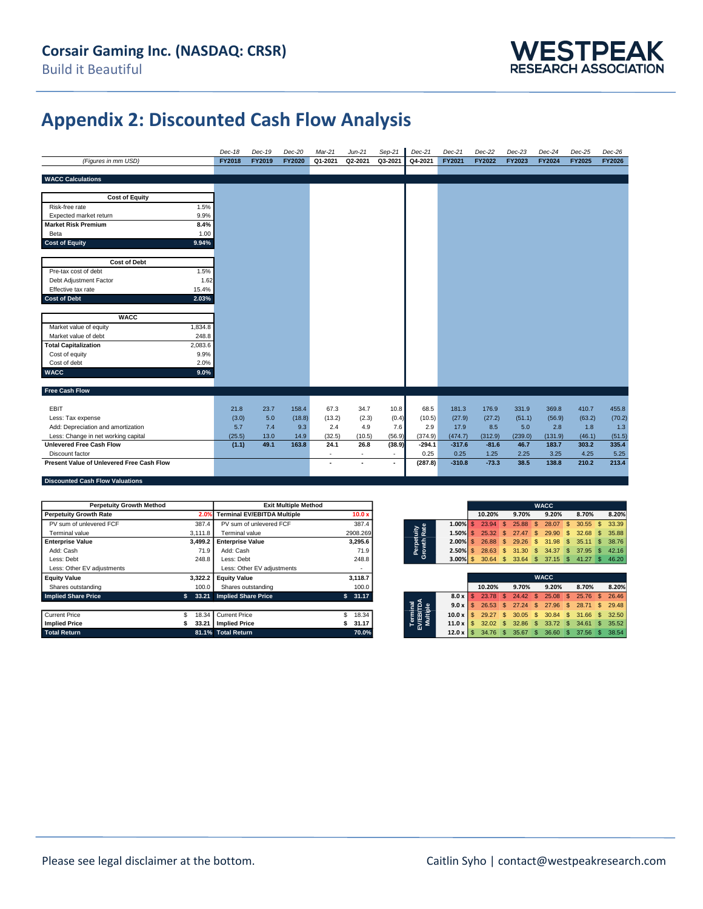

# **Appendix 2: Discounted Cash Flow Analysis**

|                                                  | $Dec-18$ | $Dec-19$ | $Dec-20$ | Mar-21       | $Jun-21$ | $Sep-21$       | $Dec-21$ | Dec-21   | Dec-22        | $Dec-23$ | $Dec-24$ | $Dec-25$ | $Dec-26$ |
|--------------------------------------------------|----------|----------|----------|--------------|----------|----------------|----------|----------|---------------|----------|----------|----------|----------|
| (Figures in mm USD)                              | FY2018   | FY2019   | FY2020   | Q1-2021      | Q2-2021  | Q3-2021        | Q4-2021  | FY2021   | <b>FY2022</b> | FY2023   | FY2024   | FY2025   | FY2026   |
|                                                  |          |          |          |              |          |                |          |          |               |          |          |          |          |
| <b>WACC Calculations</b>                         |          |          |          |              |          |                |          |          |               |          |          |          |          |
|                                                  |          |          |          |              |          |                |          |          |               |          |          |          |          |
| <b>Cost of Equity</b>                            |          |          |          |              |          |                |          |          |               |          |          |          |          |
| 1.5%<br>Risk-free rate                           |          |          |          |              |          |                |          |          |               |          |          |          |          |
| 9.9%<br>Expected market return                   |          |          |          |              |          |                |          |          |               |          |          |          |          |
| 8.4%<br><b>Market Risk Premium</b>               |          |          |          |              |          |                |          |          |               |          |          |          |          |
| 1.00<br>Beta                                     |          |          |          |              |          |                |          |          |               |          |          |          |          |
| 9.94%<br><b>Cost of Equity</b>                   |          |          |          |              |          |                |          |          |               |          |          |          |          |
|                                                  |          |          |          |              |          |                |          |          |               |          |          |          |          |
| <b>Cost of Debt</b>                              |          |          |          |              |          |                |          |          |               |          |          |          |          |
| 1.5%<br>Pre-tax cost of debt                     |          |          |          |              |          |                |          |          |               |          |          |          |          |
| Debt Adjustment Factor<br>1.62                   |          |          |          |              |          |                |          |          |               |          |          |          |          |
| 15.4%<br>Effective tax rate                      |          |          |          |              |          |                |          |          |               |          |          |          |          |
| <b>Cost of Debt</b><br>2.03%                     |          |          |          |              |          |                |          |          |               |          |          |          |          |
|                                                  |          |          |          |              |          |                |          |          |               |          |          |          |          |
| <b>WACC</b>                                      |          |          |          |              |          |                |          |          |               |          |          |          |          |
| 1,834.8<br>Market value of equity                |          |          |          |              |          |                |          |          |               |          |          |          |          |
| 248.8<br>Market value of debt                    |          |          |          |              |          |                |          |          |               |          |          |          |          |
| <b>Total Capitalization</b><br>2,083.6           |          |          |          |              |          |                |          |          |               |          |          |          |          |
| 9.9%<br>Cost of equity                           |          |          |          |              |          |                |          |          |               |          |          |          |          |
| Cost of debt<br>2.0%                             |          |          |          |              |          |                |          |          |               |          |          |          |          |
| <b>WACC</b><br>9.0%                              |          |          |          |              |          |                |          |          |               |          |          |          |          |
|                                                  |          |          |          |              |          |                |          |          |               |          |          |          |          |
| <b>Free Cash Flow</b>                            |          |          |          |              |          |                |          |          |               |          |          |          |          |
|                                                  |          |          |          |              |          |                |          |          |               |          |          |          |          |
| EBIT                                             | 21.8     | 23.7     | 158.4    | 67.3         | 34.7     | 10.8           | 68.5     | 181.3    | 176.9         | 331.9    | 369.8    | 410.7    | 455.8    |
| Less: Tax expense                                | (3.0)    | 5.0      | (18.8)   | (13.2)       | (2.3)    | (0.4)          | (10.5)   | (27.9)   | (27.2)        | (51.1)   | (56.9)   | (63.2)   | (70.2)   |
| Add: Depreciation and amortization               | 5.7      | 7.4      | 9.3      | 2.4          | 4.9      | 7.6            | 2.9      | 17.9     | 8.5           | 5.0      | 2.8      | 1.8      | 1.3      |
| Less: Change in net working capital              | (25.5)   | 13.0     | 14.9     | (32.5)       | (10.5)   | (56.9)         | (374.9)  | (474.7)  | (312.9)       | (239.0)  | (131.9)  | (46.1)   | (51.5)   |
| <b>Unlevered Free Cash Flow</b>                  | (1.1)    | 49.1     | 163.8    | 24.1         | 26.8     | (38.9)         | $-294.1$ | $-317.6$ | $-81.6$       | 46.7     | 183.7    | 303.2    | 335.4    |
| Discount factor                                  |          |          |          | $\sim$       | ×.       | ×.             | 0.25     | 0.25     | 1.25          | 2.25     | 3.25     | 4.25     | 5.25     |
| <b>Present Value of Unlevered Free Cash Flow</b> |          |          |          | $\mathbf{r}$ | $\sim$   | $\blacksquare$ | (287.8)  | $-310.8$ | $-73.3$       | 38.5     | 138.8    | 210.2    | 213.4    |
|                                                  |          |          |          |              |          |                |          |          |               |          |          |          |          |

#### **Discounted Cash Flow Valuations**

| <b>Perpetuity Growth Method</b> |         | <b>Exit Multiple Method</b>        |          |                                   |                |            |                             | <b>WACC</b>           |                       |                                  |
|---------------------------------|---------|------------------------------------|----------|-----------------------------------|----------------|------------|-----------------------------|-----------------------|-----------------------|----------------------------------|
| <b>Perpetuity Growth Rate</b>   | 2.0%    | <b>Terminal EV/EBITDA Multiple</b> | 10.0x    |                                   | 10.20%         | 9.70%      | 9.20%                       | 8.70%                 | 8.20%                 |                                  |
| PV sum of unlevered FCF         | 387.4   | PV sum of unlevered FCF            | 387.4    |                                   | $1.00\%$ S     | 23.94      | 25.88<br>-8                 | 28.07<br>-96          | -SS<br>30.55          | 33.39<br>$\mathbf{\mathfrak{L}}$ |
| Terminal value                  | 3.111.8 | Terminal value                     | 2908.269 |                                   | $1.50\%$ S     | 25.32      | 27.47<br>$\mathbf{\hat{z}}$ | £.<br>29.90           | 32.68<br>£.           | 35.88<br>\$                      |
| <b>Enterprise Value</b>         | 3.499.2 | <b>Enterprise Value</b>            | 3,295.6  | Perpetuity<br>irowth Rate         | $2.00\%$ S     | 26.88      | 29.26<br>-SS                | SS.<br>31.98          | S.<br>35.11           | 38.76<br>-S                      |
| Add: Cash                       | 71.9    | Add: Cash                          | 71.9     |                                   | $2.50\%$ S     | 28.63      | 31.30<br>-8                 | 34.37<br>SS.          | 37.95<br>S.           | 42.16<br>-SS.                    |
| Less: Debt                      | 248.8   | Less: Debt                         | 248.8    | O                                 | $3.00\%$ S     | $30.64$ \$ | $33.64$ \$                  | $37.15$ \$            | $41.27$ \$            | 46.20                            |
| Less: Other EV adjustments      |         | Less: Other EV adjustments         |          |                                   |                |            |                             |                       |                       |                                  |
| <b>Equity Value</b>             | 3,322.2 | <b>Equity Value</b>                | 3,118.7  |                                   |                |            |                             | <b>WACC</b>           |                       |                                  |
| Shares outstanding              | 100.0   | Shares outstanding                 | 100.0    |                                   |                | 10.20%     | 9.70%                       | 9.20%                 | 8.70%                 | 8.20%                            |
| <b>Implied Share Price</b>      | \$33.21 | <b>Implied Share Price</b>         | \$31.17  |                                   | $8.0 \times$ S | 23.78      | -8<br>24.42                 | 25.08<br>$\mathbf{R}$ | 25.76<br>-S.          | 26.46<br>- \$                    |
|                                 |         |                                    |          | Terminal<br>EV/EBITDA<br>Multiple | 9.0x           | 26.53      | 24<br>-8                    | .96<br>Я              | 28.71<br>$\mathbf{R}$ | 29.48<br>\$.                     |
| <b>Current Price</b>            | 18.34   | Current Price                      | \$18.34  |                                   | 10.0x          | 29.27      | 30.05                       | 30.84                 | 31.66                 | 32.50<br>s.                      |
| <b>Implied Price</b>            | 33.21   | <b>Implied Price</b>               | 31.17    |                                   | 11.0x          | 32.02      | 32.86                       | 33.72<br>S.           | 34.61<br>-96.         | 35.52<br>-SS.                    |
| <b>Total Return</b>             |         | 81.1% Total Return                 | 70.0%    |                                   | 12.0x          | 34.76      | 35.67<br>- 86               | 36.60                 | 37.56                 | 38.54                            |

| Exit Multiple Method |          |                   |            |                   |                |                                         |  | <b>WACC</b> |       |                |     |  |
|----------------------|----------|-------------------|------------|-------------------|----------------|-----------------------------------------|--|-------------|-------|----------------|-----|--|
| <b>TDA Multiple</b>  | 10.0x    |                   |            | 10.20%            | 9.70%<br>9.20% |                                         |  |             | 8.70% |                |     |  |
| ered FCF             | 387.4    |                   |            | $1.00\%$ \$ 23.94 | -SS            | 25.88 \$ 28.07                          |  |             | - \$  | 30.55 \$ 33.39 |     |  |
|                      | 2908.269 | uity<br>Rate      |            |                   |                | 1.50% \$ 25.32 \$ 27.47 \$ 29.90 \$     |  |             |       | 32.68 \$ 35.88 |     |  |
|                      | 3.295.6  | Æ<br>۵            |            |                   |                | <b>2.00% \$26.88 \$29.26 \$31.98 \$</b> |  |             |       | $35.11$ \$     |     |  |
|                      | 71.9     | ەھ<br>م<br>ة<br>ق | $2.50\%$ S |                   |                | 28.63 \$ 31.30 \$ 34.37                 |  |             | -S    | $37.95$ \$     |     |  |
|                      | 248.8    |                   | $3.00\%$ S | $30.64$ \$        |                | 33.64 \$ 37.15 \$                       |  |             |       | 41.27          | -96 |  |

|                                                                                                                                                                                                                                                                    |                                |  | <b>WACC</b> |  |  |
|--------------------------------------------------------------------------------------------------------------------------------------------------------------------------------------------------------------------------------------------------------------------|--------------------------------|--|-------------|--|--|
|                                                                                                                                                                                                                                                                    | 10.20% 9.70% 9.20% 8.70% 8.20% |  |             |  |  |
| 8.0 x \$ 23.78 \$ 24.42 \$ 25.08 \$ 25.76 \$ 26.46<br>9.0 x \$ 26.53 \$ 27.24 \$ 27.96 \$ 28.71 \$ 29.48<br>10.0 x \$ 29.27 \$ 30.05 \$ 30.84 \$ 31.66 \$ 32.50<br>11.0 x \$ 32.02 \$ 32.86 \$ 33.72 \$ 34.61 \$ 35.52<br>12.0 x \$ 34.76 \$ 35.67 \$ 36.60 \$ 37. |                                |  |             |  |  |
|                                                                                                                                                                                                                                                                    |                                |  |             |  |  |
|                                                                                                                                                                                                                                                                    |                                |  |             |  |  |
|                                                                                                                                                                                                                                                                    |                                |  |             |  |  |
|                                                                                                                                                                                                                                                                    |                                |  |             |  |  |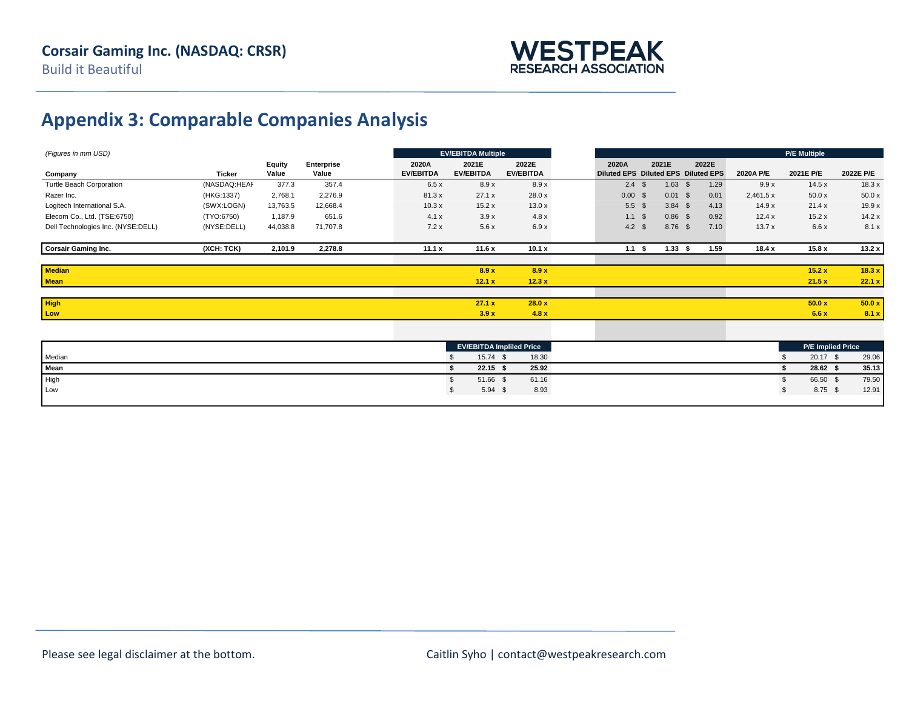

# **Appendix 3: Comparable Companies Analysis**

| (Figures in mm USD)                |              |                        |                     |                           | <b>EV/EBITDA Multiple</b> |                           |                                                     | <b>P/E Multiple</b> |                   |       |           |           |           |
|------------------------------------|--------------|------------------------|---------------------|---------------------------|---------------------------|---------------------------|-----------------------------------------------------|---------------------|-------------------|-------|-----------|-----------|-----------|
| Company                            | Ticker       | <b>Equity</b><br>Value | Enterprise<br>Value | 2020A<br><b>EV/EBITDA</b> | 2021E<br><b>EV/EBITDA</b> | 2022E<br><b>EV/EBITDA</b> | 2020A<br><b>Diluted EPS Diluted EPS Diluted EPS</b> | 2021E               |                   | 2022E | 2020A P/E | 2021E P/E | 2022E P/E |
| <b>Turtle Beach Corporation</b>    | (NASDAQ:HEAF | 377.3                  | 357.4               | 6.5x                      | 8.9x                      | 8.9 x                     | $2.4$ \$                                            |                     | $1.63$ \$         | 1.29  | 9.9x      | 14.5x     | 18.3x     |
| Razer Inc.                         | (HKG:1337)   | 2,768.1                | 2,276.9             | 81.3x                     | 27.1 x                    | 28.0 x                    | $0.00\,$ \$                                         |                     | $0.01$ \$         | 0.01  | 2,461.5 x | 50.0x     | 50.0x     |
| Logitech International S.A.        | (SWX:LOGN)   | 13,763.5               | 12,668.4            | 10.3x                     | 15.2x                     | 13.0x                     | $5.5\quad$                                          |                     | $3.84$ \$         | 4.13  | 14.9 x    | 21.4x     | 19.9x     |
| Elecom Co., Ltd. (TSE:6750)        | (TYO:6750)   | 1,187.9                | 651.6               | 4.1x                      | 3.9x                      | 4.8 x                     | 1.1 S                                               |                     | $0.86$ \$         | 0.92  | 12.4x     | 15.2x     | 14.2x     |
| Dell Technologies Inc. (NYSE:DELL) | (NYSE:DELL)  | 44,038.8               | 71,707.8            | 7.2x                      | 5.6x                      | 6.9x                      | 4.2 $$$                                             |                     | 8.76 \$           | 7.10  | 13.7x     | 6.6x      | 8.1 x     |
|                                    |              |                        |                     |                           |                           |                           |                                                     |                     |                   |       |           |           |           |
| <b>Corsair Gaming Inc.</b>         | (XCH: TCK)   | 2,101.9                | 2,278.8             | 11.1 x                    | 11.6x                     | 10.1 x                    | 1.1 S                                               |                     | 1.33 <sup>5</sup> | 1.59  | 18.4x     | 15.8x     | 13.2 x    |
|                                    |              |                        |                     |                           |                           |                           |                                                     |                     |                   |       |           |           |           |
| <b>Median</b>                      |              |                        |                     |                           | 8.9x                      | 8.9x                      |                                                     |                     |                   |       |           | 15.2 x    | 18.3 x    |
| <b>Mean</b>                        |              |                        |                     |                           | 12.1 x                    | 12.3x                     |                                                     |                     |                   |       |           | 21.5x     | 22.1 x    |
|                                    |              |                        |                     |                           |                           |                           |                                                     |                     |                   |       |           |           |           |
| <b>High</b>                        |              |                        |                     |                           | 27.1 x                    | 28.0 x                    |                                                     |                     |                   |       |           | 50.0 x    | 50.0 x    |
| Low                                |              |                        |                     |                           | 3.9x                      | 4.8x                      |                                                     |                     |                   |       |           | 6.6x      | 8.1 x     |
|                                    |              |                        |                     |                           |                           |                           |                                                     |                     |                   |       |           |           |           |

|        | <b>EV/EBITDA Impliled Price</b> |  |       |  | P/E Implied Price |       |
|--------|---------------------------------|--|-------|--|-------------------|-------|
| Median | $15.74$ \$                      |  | 18.30 |  | $20.17$ \$        | 29.06 |
| Mean   | $22.15$ \$                      |  | 25.92 |  | $28.62$ \$        | 35.13 |
| High   | 51.66                           |  | 61.16 |  | 66.50 \$          | 79.50 |
| Low    | 5.94                            |  | 8.93  |  | $8.75$ \$         | 12.91 |
|        |                                 |  |       |  |                   |       |